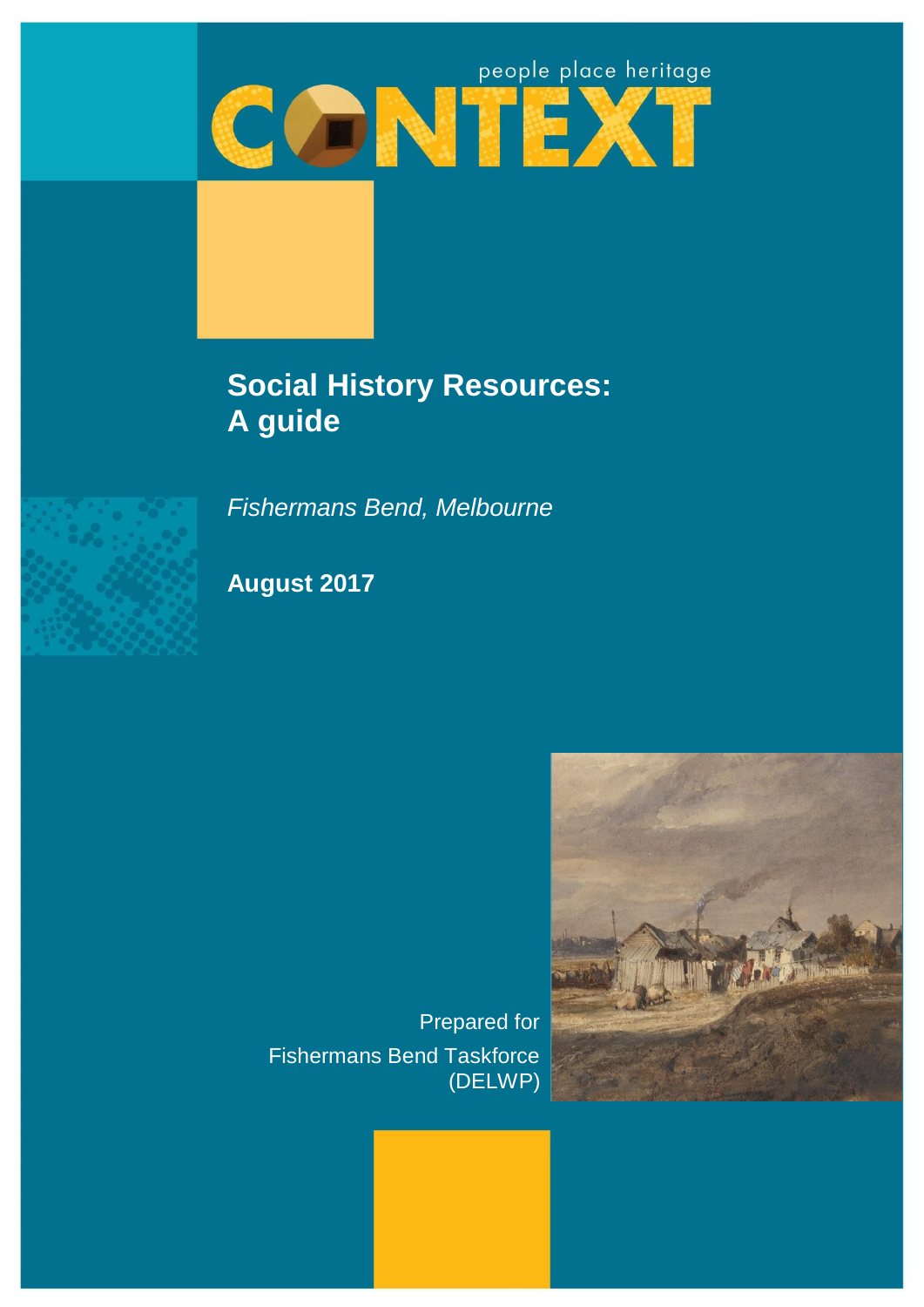

**Social History Resources: A guide**



*Fishermans Bend, Melbourne*

**August 2017**



Prepared for Fishermans Bend Taskforce (DELWP)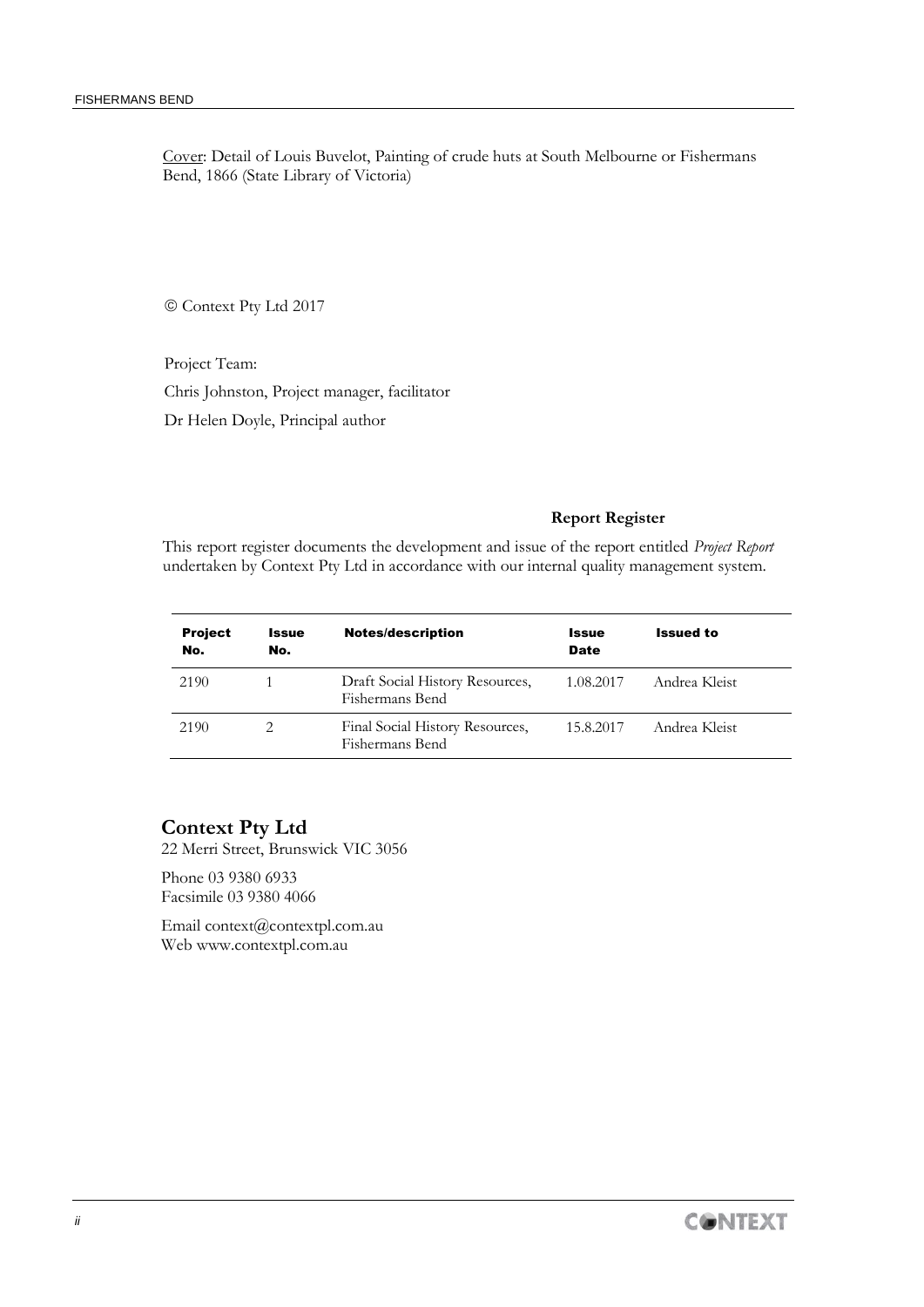Cover: Detail of Louis Buvelot, Painting of crude huts at South Melbourne or Fishermans Bend, 1866 (State Library of Victoria)

Context Pty Ltd 2017

Project Team: Chris Johnston, Project manager, facilitator Dr Helen Doyle, Principal author

#### **Report Register**

This report register documents the development and issue of the report entitled *Project Report* undertaken by Context Pty Ltd in accordance with our internal quality management system.

| <b>Project</b><br>No. | <b>Issue</b><br>No. | <b>Notes/description</b>                           | <b>Issue</b><br><b>Date</b> | <b>Issued to</b> |
|-----------------------|---------------------|----------------------------------------------------|-----------------------------|------------------|
| 2190                  |                     | Draft Social History Resources,<br>Fishermans Bend | 1.08.2017                   | Andrea Kleist    |
| 2190                  |                     | Final Social History Resources,<br>Fishermans Bend | 15.8.2017                   | Andrea Kleist    |

### **Context Pty Ltd**

22 Merri Street, Brunswick VIC 3056

Phone 03 9380 6933 Facsimile 03 9380 4066

Email context@contextpl.com.au Web www.contextpl.com.au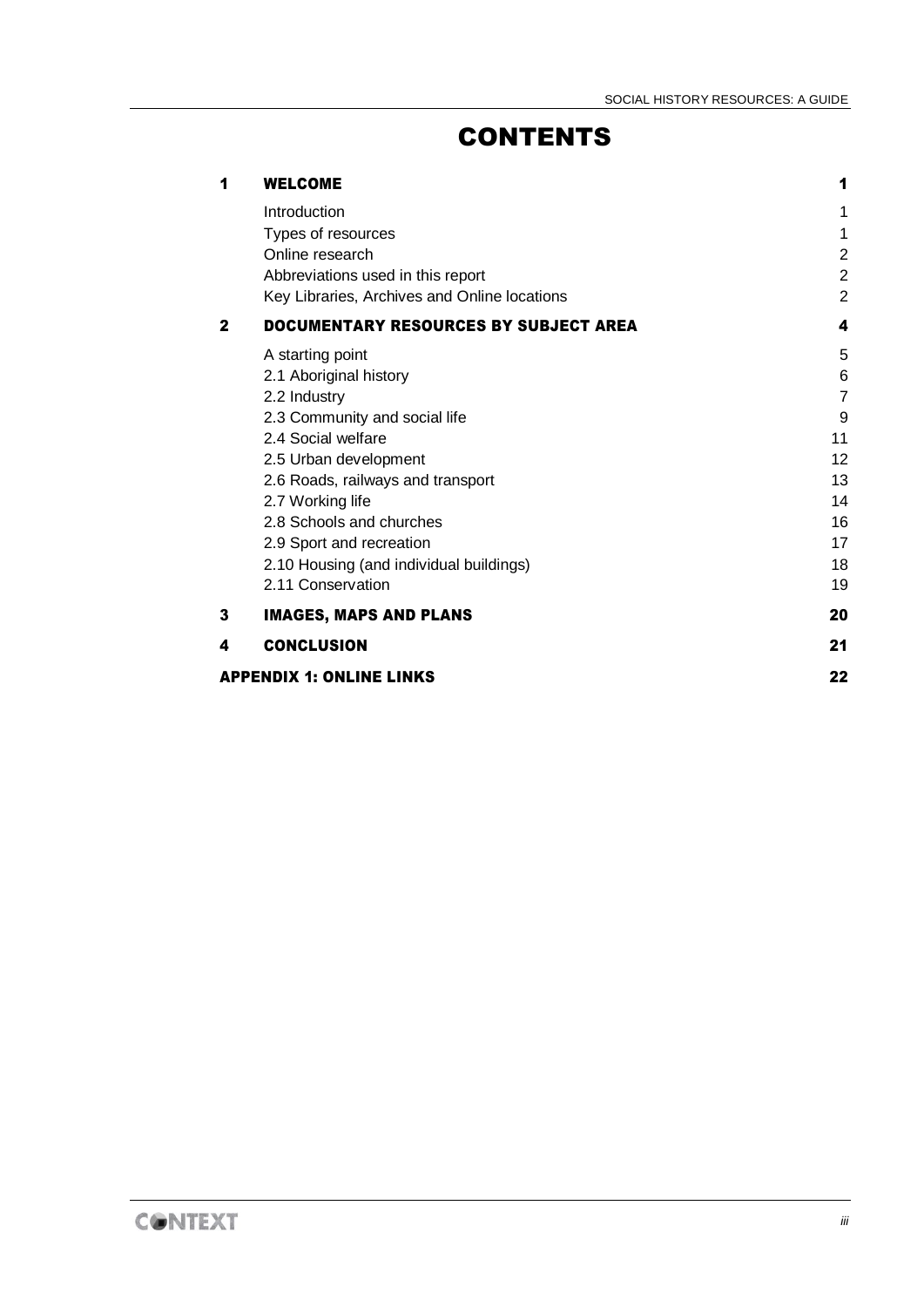# **CONTENTS**

| 1            | <b>WELCOME</b>                               | 1              |
|--------------|----------------------------------------------|----------------|
|              | Introduction                                 | 1              |
|              | Types of resources                           | 1              |
|              | Online research                              | $\overline{2}$ |
|              | Abbreviations used in this report            | $\overline{2}$ |
|              | Key Libraries, Archives and Online locations | $\overline{2}$ |
| $\mathbf{2}$ | <b>DOCUMENTARY RESOURCES BY SUBJECT AREA</b> | 4              |
|              | A starting point                             | 5              |
|              | 2.1 Aboriginal history                       | 6              |
|              | 2.2 Industry                                 | 7              |
|              | 2.3 Community and social life                | 9              |
|              | 2.4 Social welfare                           | 11             |
|              | 2.5 Urban development                        | 12             |
|              | 2.6 Roads, railways and transport            | 13             |
|              | 2.7 Working life                             | 14             |
|              | 2.8 Schools and churches                     | 16             |
|              | 2.9 Sport and recreation                     | 17             |
|              | 2.10 Housing (and individual buildings)      | 18             |
|              | 2.11 Conservation                            | 19             |
| 3            | <b>IMAGES, MAPS AND PLANS</b>                | 20             |
| 4            | <b>CONCLUSION</b>                            | 21             |
|              | <b>APPENDIX 1: ONLINE LINKS</b>              | 22             |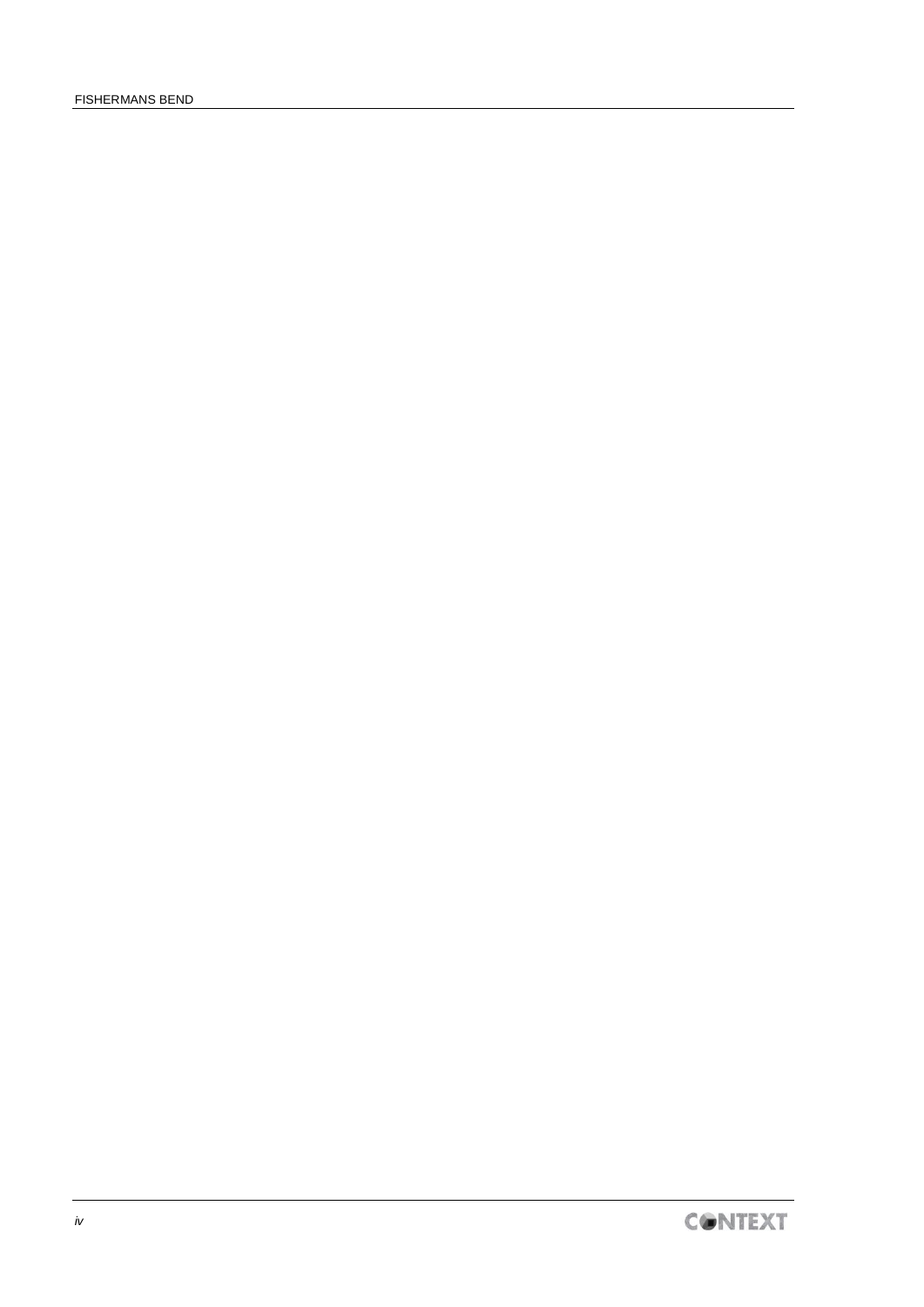FISHERMANS BEND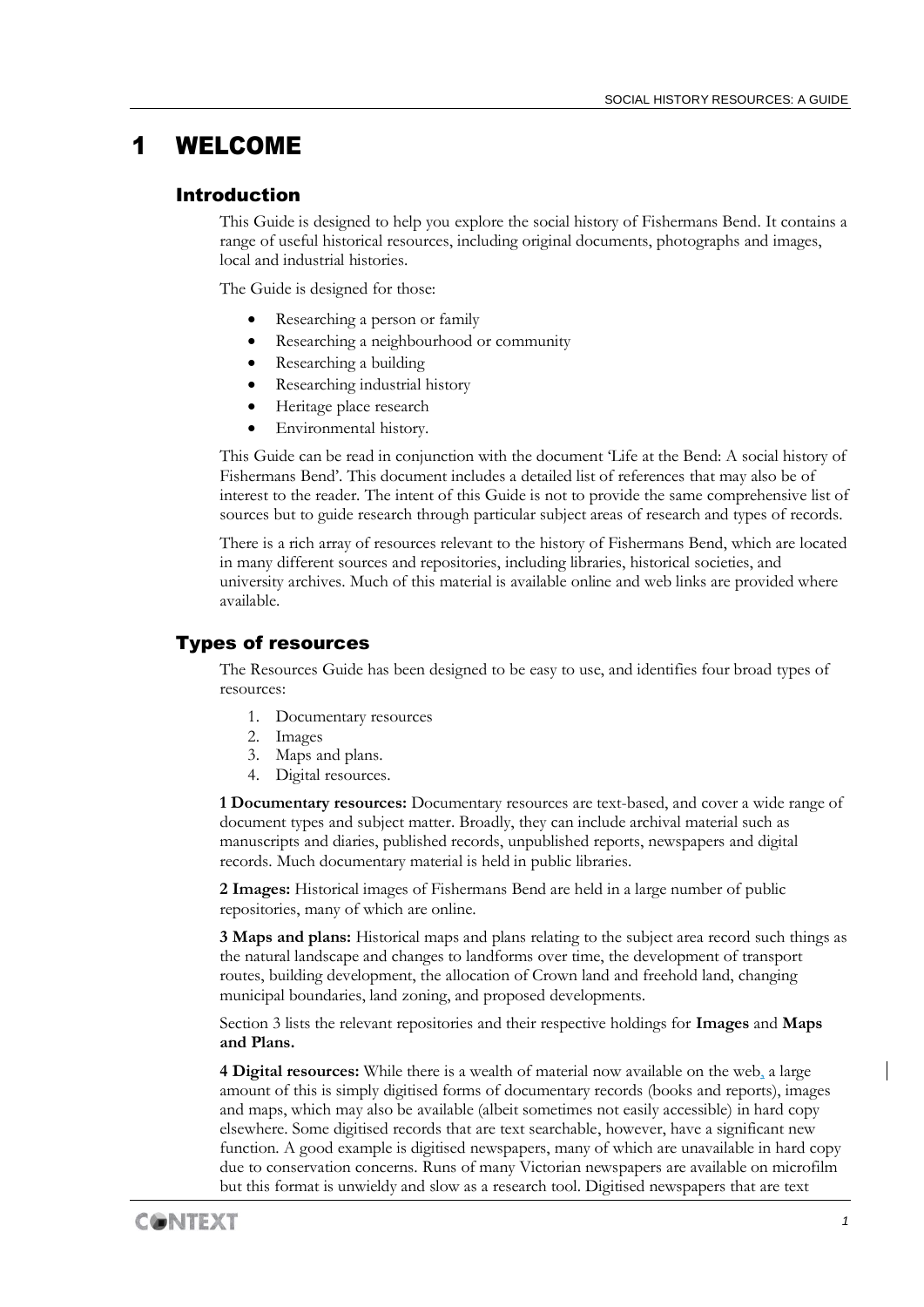# <span id="page-5-1"></span><span id="page-5-0"></span>1 WELCOME

#### Introduction

This Guide is designed to help you explore the social history of Fishermans Bend. It contains a range of useful historical resources, including original documents, photographs and images, local and industrial histories.

The Guide is designed for those:

- Researching a person or family
- Researching a neighbourhood or community
- Researching a building
- Researching industrial history
- Heritage place research
- Environmental history.

This Guide can be read in conjunction with the document 'Life at the Bend: A social history of Fishermans Bend'. This document includes a detailed list of references that may also be of interest to the reader. The intent of this Guide is not to provide the same comprehensive list of sources but to guide research through particular subject areas of research and types of records.

There is a rich array of resources relevant to the history of Fishermans Bend, which are located in many different sources and repositories, including libraries, historical societies, and university archives. Much of this material is available online and web links are provided where available.

#### <span id="page-5-2"></span>Types of resources

The Resources Guide has been designed to be easy to use, and identifies four broad types of resources:

- 1. Documentary resources
- 2. Images
- 3. Maps and plans.
- 4. Digital resources.

**1 Documentary resources:** Documentary resources are text-based, and cover a wide range of document types and subject matter. Broadly, they can include archival material such as manuscripts and diaries, published records, unpublished reports, newspapers and digital records. Much documentary material is held in public libraries.

**2 Images:** Historical images of Fishermans Bend are held in a large number of public repositories, many of which are online.

**3 Maps and plans:** Historical maps and plans relating to the subject area record such things as the natural landscape and changes to landforms over time, the development of transport routes, building development, the allocation of Crown land and freehold land, changing municipal boundaries, land zoning, and proposed developments.

Section 3 lists the relevant repositories and their respective holdings for **Images** and **Maps and Plans.**

**4 Digital resources:** While there is a wealth of material now available on the web, a large amount of this is simply digitised forms of documentary records (books and reports), images and maps, which may also be available (albeit sometimes not easily accessible) in hard copy elsewhere. Some digitised records that are text searchable, however, have a significant new function. A good example is digitised newspapers, many of which are unavailable in hard copy due to conservation concerns. Runs of many Victorian newspapers are available on microfilm but this format is unwieldy and slow as a research tool. Digitised newspapers that are text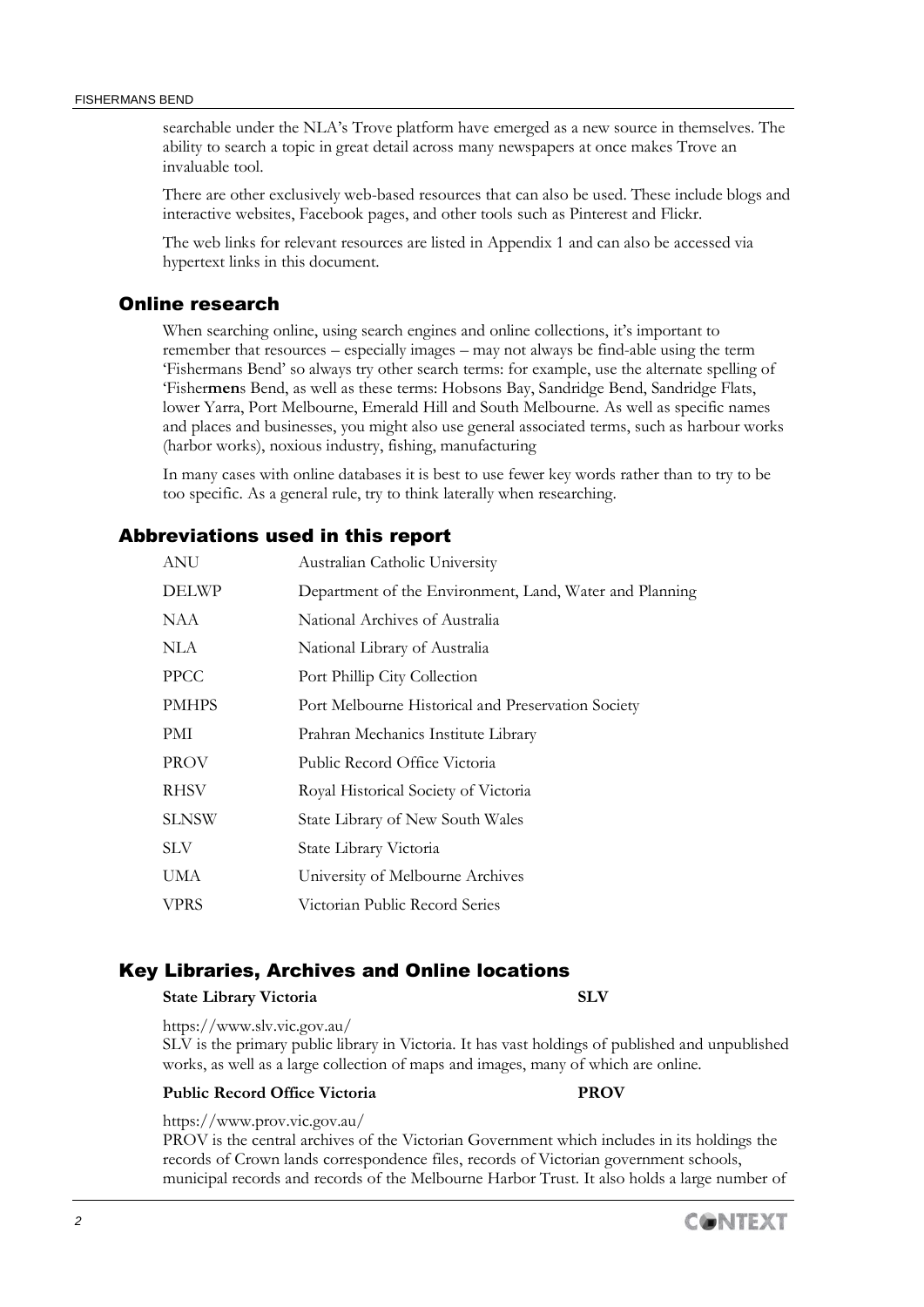searchable under the NLA's Trove platform have emerged as a new source in themselves. The ability to search a topic in great detail across many newspapers at once makes Trove an invaluable tool.

There are other exclusively web-based resources that can also be used. These include blogs and interactive websites, Facebook pages, and other tools such as Pinterest and Flickr.

The web links for relevant resources are listed in Appendix 1 and can also be accessed via hypertext links in this document.

#### <span id="page-6-0"></span>Online research

When searching online, using search engines and online collections, it's important to remember that resources – especially images – may not always be find-able using the term 'Fishermans Bend' so always try other search terms: for example, use the alternate spelling of 'Fisher**men**s Bend, as well as these terms: Hobsons Bay, Sandridge Bend, Sandridge Flats, lower Yarra, Port Melbourne, Emerald Hill and South Melbourne. As well as specific names and places and businesses, you might also use general associated terms, such as harbour works (harbor works), noxious industry, fishing, manufacturing

In many cases with online databases it is best to use fewer key words rather than to try to be too specific. As a general rule, try to think laterally when researching.

### <span id="page-6-1"></span>Abbreviations used in this report

| ANU          | Australian Catholic University                          |
|--------------|---------------------------------------------------------|
| <b>DELWP</b> | Department of the Environment, Land, Water and Planning |
| <b>NAA</b>   | National Archives of Australia                          |
| NLA          | National Library of Australia                           |
| <b>PPCC</b>  | Port Phillip City Collection                            |
| <b>PMHPS</b> | Port Melbourne Historical and Preservation Society      |
| PMI          | Prahran Mechanics Institute Library                     |
| <b>PROV</b>  | Public Record Office Victoria                           |
| <b>RHSV</b>  | Royal Historical Society of Victoria                    |
| <b>SLNSW</b> | State Library of New South Wales                        |
| <b>SLV</b>   | State Library Victoria                                  |
| UMA          | University of Melbourne Archives                        |
| <b>VPRS</b>  | Victorian Public Record Series                          |

#### <span id="page-6-2"></span>Key Libraries, Archives and Online locations

#### **State Library Victoria SLV**

SLV is the primary public library in Victoria. It has vast holdings of published and unpublished works, as well as a large collection of maps and images, many of which are online.

#### **Public Record Office Victoria PROV**

https://www.slv.vic.gov.au/

https://www.prov.vic.gov.au/

PROV is the central archives of the Victorian Government which includes in its holdings the records of Crown lands correspondence files, records of Victorian government schools, municipal records and records of the Melbourne Harbor Trust. It also holds a large number of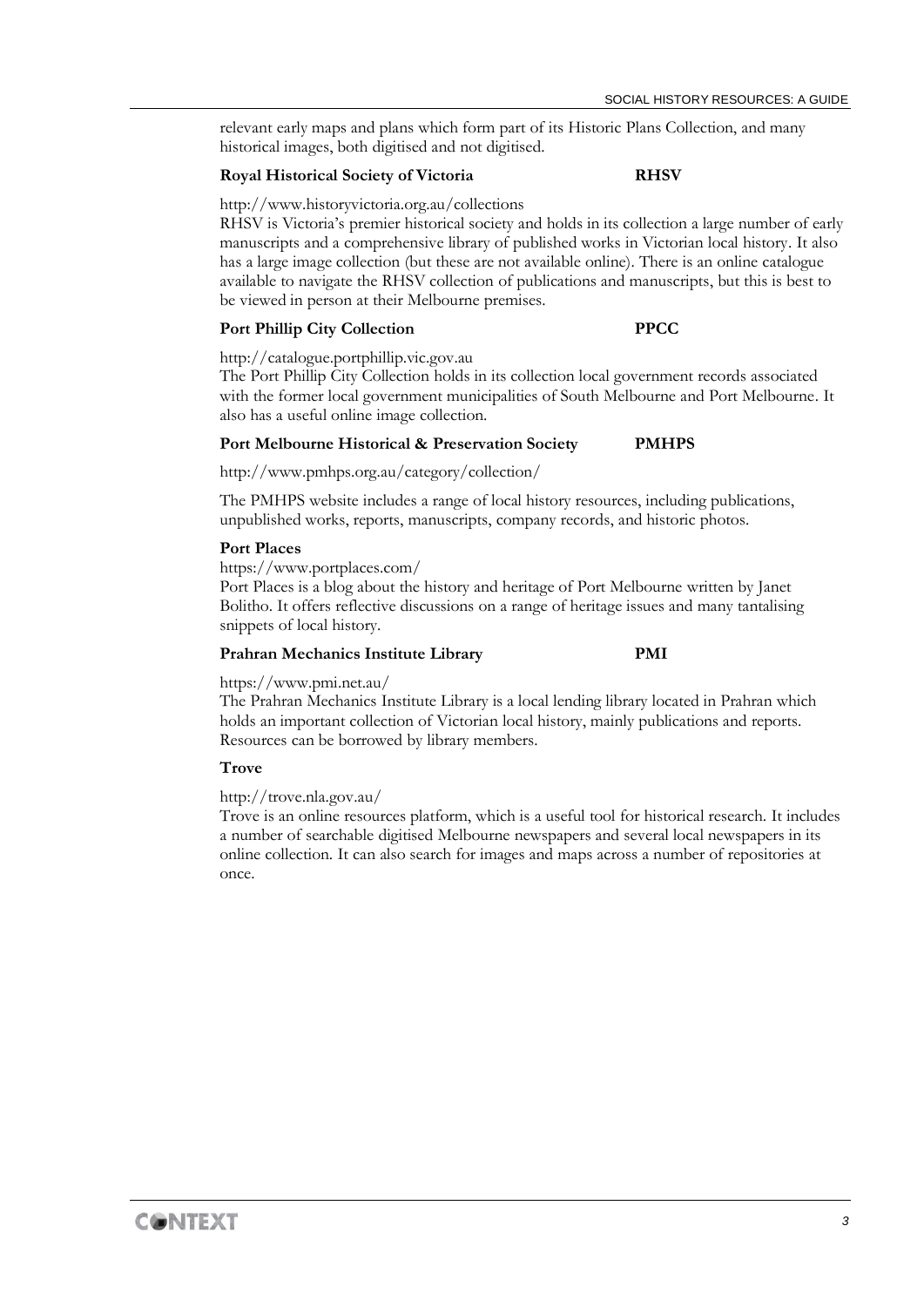relevant early maps and plans which form part of its Historic Plans Collection, and many historical images, both digitised and not digitised.

### **Royal Historical Society of Victoria RHSV**

### http://www.historyvictoria.org.au/collections

RHSV is Victoria's premier historical society and holds in its collection a large number of early manuscripts and a comprehensive library of published works in Victorian local history. It also has a large image collection (but these are not available online). There is an online catalogue available to navigate the RHSV collection of publications and manuscripts, but this is best to be viewed in person at their Melbourne premises.

### **Port Phillip City Collection PPCC**

http://catalogue.portphillip.vic.gov.au

The Port Phillip City Collection holds in its collection local government records associated with the former local government municipalities of South Melbourne and Port Melbourne. It also has a useful online image collection.

#### **Port Melbourne Historical & Preservation Society PMHPS**

http://www.pmhps.org.au/category/collection/

The PMHPS website includes a range of local history resources, including publications, unpublished works, reports, manuscripts, company records, and historic photos.

#### **Port Places**

https://www.portplaces.com/

Port Places is a blog about the history and heritage of Port Melbourne written by Janet Bolitho. It offers reflective discussions on a range of heritage issues and many tantalising snippets of local history.

#### **Prahran Mechanics Institute Library PMI**

#### https://www.pmi.net.au/

The Prahran Mechanics Institute Library is a local lending library located in Prahran which holds an important collection of Victorian local history, mainly publications and reports. Resources can be borrowed by library members.

#### **Trove**

#### http://trove.nla.gov.au/

Trove is an online resources platform, which is a useful tool for historical research. It includes a number of searchable digitised Melbourne newspapers and several local newspapers in its online collection. It can also search for images and maps across a number of repositories at once.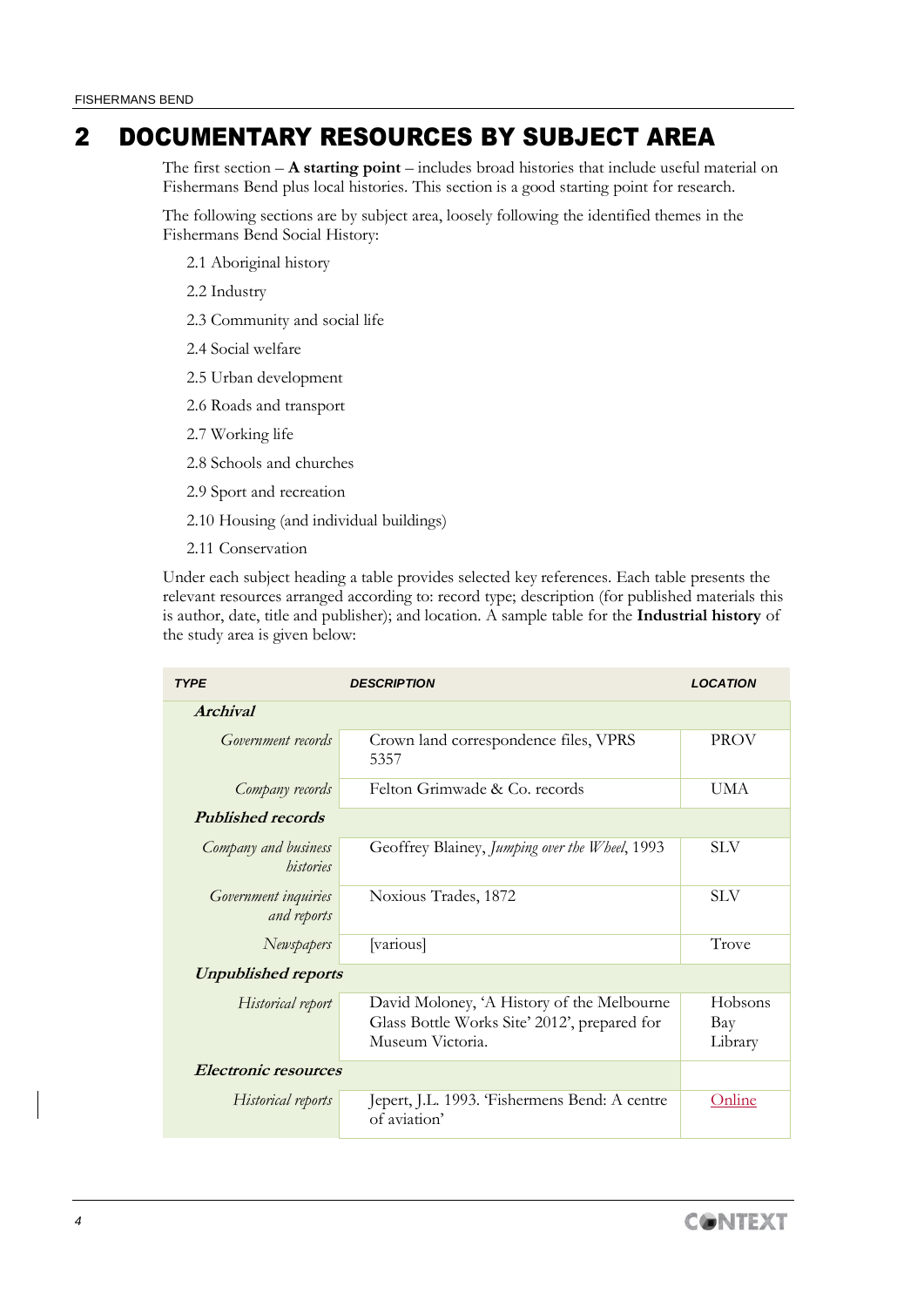# <span id="page-8-0"></span>2 DOCUMENTARY RESOURCES BY SUBJECT AREA

The first section – **A starting point** – includes broad histories that include useful material on Fishermans Bend plus local histories. This section is a good starting point for research.

The following sections are by subject area, loosely following the identified themes in the Fishermans Bend Social History:

- 2.1 Aboriginal history
- 2.2 Industry
- 2.3 Community and social life
- 2.4 Social welfare
- 2.5 Urban development
- 2.6 Roads and transport
- 2.7 Working life
- 2.8 Schools and churches
- 2.9 Sport and recreation
- 2.10 Housing (and individual buildings)
- 2.11 Conservation

Under each subject heading a table provides selected key references. Each table presents the relevant resources arranged according to: record type; description (for published materials this is author, date, title and publisher); and location. A sample table for the **Industrial history** of the study area is given below:

| <b>TYPE</b>                         | <b>DESCRIPTION</b>                                                                                             | <b>LOCATION</b>           |
|-------------------------------------|----------------------------------------------------------------------------------------------------------------|---------------------------|
| <b>Archival</b>                     |                                                                                                                |                           |
| Government records                  | Crown land correspondence files, VPRS<br>5357                                                                  | <b>PROV</b>               |
| Company records                     | Felton Grimwade & Co. records                                                                                  | UMA                       |
| <b>Published records</b>            |                                                                                                                |                           |
| Company and business<br>histories   | Geoffrey Blainey, Jumping over the Wheel, 1993                                                                 | SLV                       |
| Government inquiries<br>and reports | Noxious Trades, 1872                                                                                           | <b>SLV</b>                |
| Newspapers                          | [various]                                                                                                      | Trove                     |
| <b>Unpublished reports</b>          |                                                                                                                |                           |
| Historical report                   | David Moloney, 'A History of the Melbourne<br>Glass Bottle Works Site' 2012', prepared for<br>Museum Victoria. | Hobsons<br>Bay<br>Library |
| Electronic resources                |                                                                                                                |                           |
| Historical reports                  | Jepert, J.L. 1993. 'Fishermens Bend: A centre<br>of aviation'                                                  | Online                    |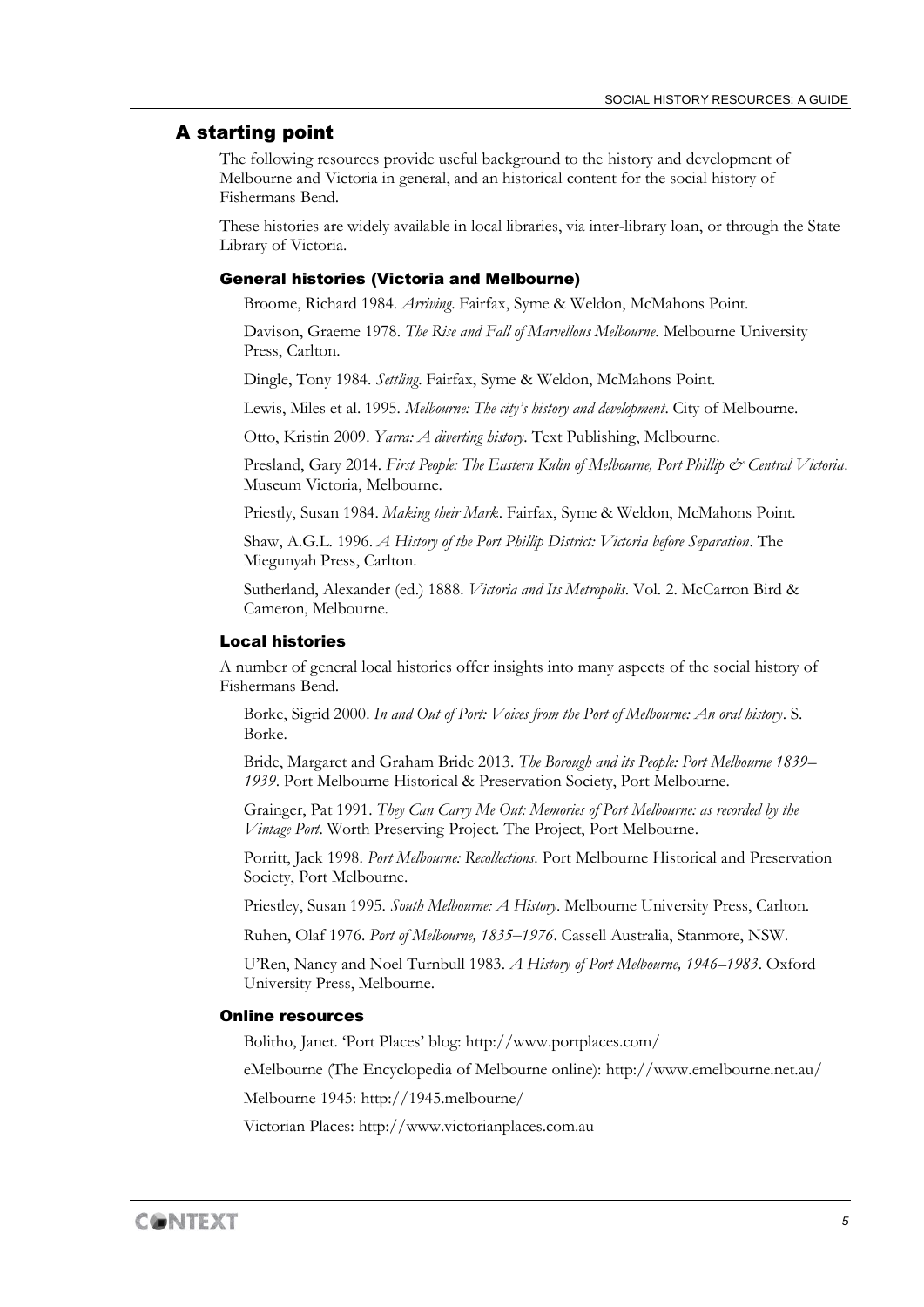### <span id="page-9-0"></span>A starting point

The following resources provide useful background to the history and development of Melbourne and Victoria in general, and an historical content for the social history of Fishermans Bend.

These histories are widely available in local libraries, via inter-library loan, or through the State Library of Victoria.

#### General histories (Victoria and Melbourne)

Broome, Richard 1984. *Arriving*. Fairfax, Syme & Weldon, McMahons Point.

Davison, Graeme 1978. *The Rise and Fall of Marvellous Melbourne*. Melbourne University Press, Carlton.

Dingle, Tony 1984. *Settling*. Fairfax, Syme & Weldon, McMahons Point.

Lewis, Miles et al. 1995. *Melbourne: The city's history and development*. City of Melbourne.

Otto, Kristin 2009. *Yarra: A diverting history*. Text Publishing, Melbourne.

Presland, Gary 2014. *First People: The Eastern Kulin of Melbourne, Port Phillip & Central Victoria*. Museum Victoria, Melbourne.

Priestly, Susan 1984. *Making their Mark*. Fairfax, Syme & Weldon, McMahons Point.

Shaw, A.G.L. 1996. *A History of the Port Phillip District: Victoria before Separation*. The Miegunyah Press, Carlton.

Sutherland, Alexander (ed.) 1888. *Victoria and Its Metropolis*. Vol. 2. McCarron Bird & Cameron, Melbourne.

#### Local histories

A number of general local histories offer insights into many aspects of the social history of Fishermans Bend.

Borke, Sigrid 2000. *In and Out of Port: Voices from the Port of Melbourne: An oral history*. S. Borke.

Bride, Margaret and Graham Bride 2013. *The Borough and its People: Port Melbourne 1839– 1939*. Port Melbourne Historical & Preservation Society, Port Melbourne.

Grainger, Pat 1991. *They Can Carry Me Out: Memories of Port Melbourne: as recorded by the Vintage Port*. Worth Preserving Project. The Project, Port Melbourne.

Porritt, Jack 1998. *Port Melbourne: Recollections*. Port Melbourne Historical and Preservation Society, Port Melbourne.

Priestley, Susan 1995. *South Melbourne: A History*. Melbourne University Press, Carlton.

Ruhen, Olaf 1976. *Port of Melbourne, 1835–1976*. Cassell Australia, Stanmore, NSW.

U'Ren, Nancy and Noel Turnbull 1983. *A History of Port Melbourne, 1946–1983*. Oxford University Press, Melbourne.

#### Online resources

Bolitho, Janet. 'Port Places' blog: http://www.portplaces.com/

eMelbourne (The Encyclopedia of Melbourne online): http://www.emelbourne.net.au/

Melbourne 1945: http://1945.melbourne/

Victorian Places: http://www.victorianplaces.com.au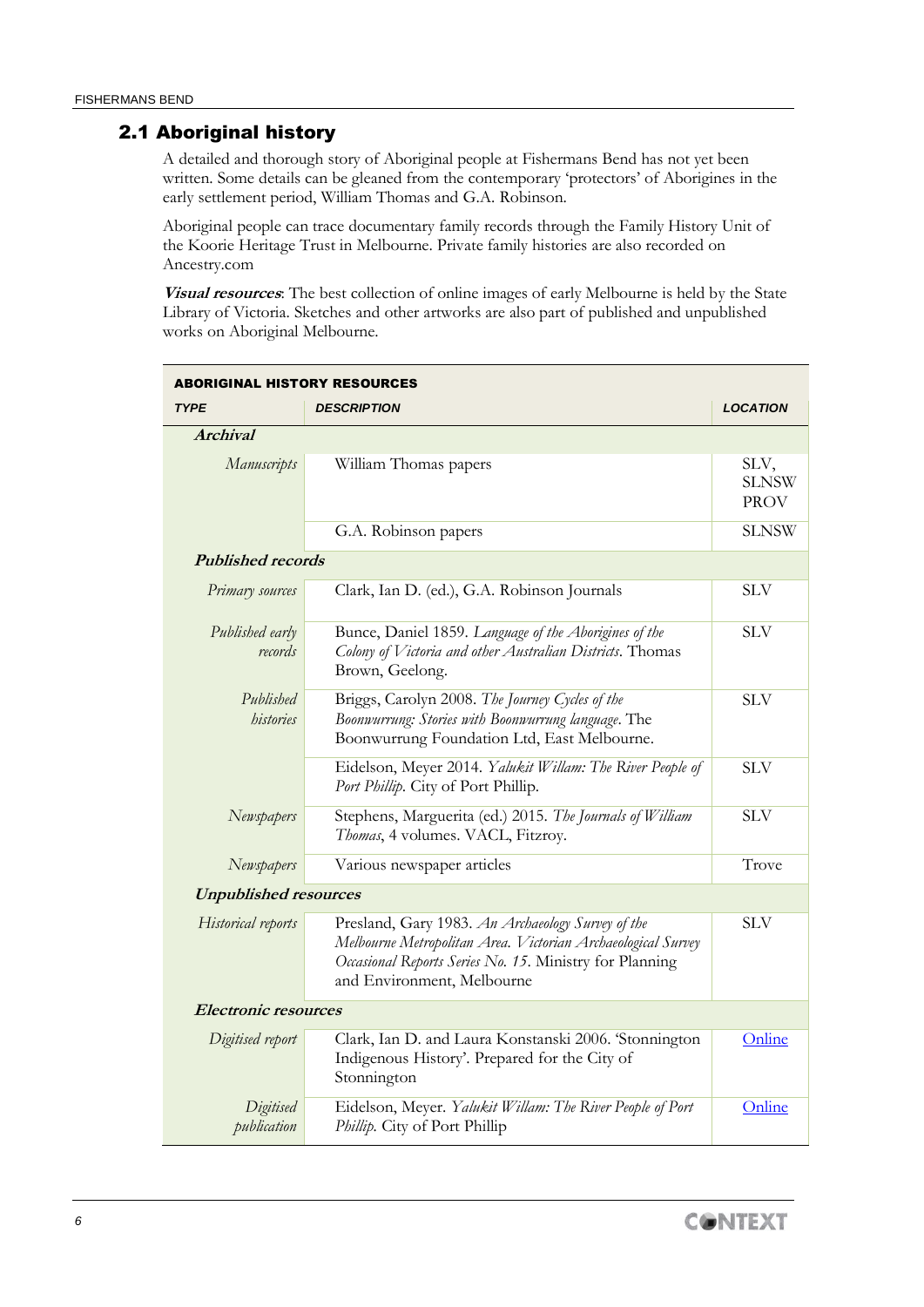### <span id="page-10-0"></span>2.1 Aboriginal history

A detailed and thorough story of Aboriginal people at Fishermans Bend has not yet been written. Some details can be gleaned from the contemporary 'protectors' of Aborigines in the early settlement period, William Thomas and G.A. Robinson.

Aboriginal people can trace documentary family records through the Family History Unit of the Koorie Heritage Trust in Melbourne. Private family histories are also recorded on Ancestry.com

**Visual resources**: The best collection of online images of early Melbourne is held by the State Library of Victoria. Sketches and other artworks are also part of published and unpublished works on Aboriginal Melbourne.

| <b>ABORIGINAL HISTORY RESOURCES</b> |                                                                                                                                                                                                            |                                     |  |  |
|-------------------------------------|------------------------------------------------------------------------------------------------------------------------------------------------------------------------------------------------------------|-------------------------------------|--|--|
| <b>TYPE</b>                         | <b>DESCRIPTION</b>                                                                                                                                                                                         | <b>LOCATION</b>                     |  |  |
| <b>Archival</b>                     |                                                                                                                                                                                                            |                                     |  |  |
| Manuscripts                         | William Thomas papers                                                                                                                                                                                      | SLV,<br><b>SLNSW</b><br><b>PROV</b> |  |  |
|                                     | G.A. Robinson papers                                                                                                                                                                                       | <b>SLNSW</b>                        |  |  |
| <b>Published records</b>            |                                                                                                                                                                                                            |                                     |  |  |
| Primary sources                     | Clark, Ian D. (ed.), G.A. Robinson Journals                                                                                                                                                                | <b>SLV</b>                          |  |  |
| Published early<br>records          | Bunce, Daniel 1859. Language of the Aborigines of the<br>Colony of Victoria and other Australian Districts. Thomas<br>Brown, Geelong.                                                                      | <b>SLV</b>                          |  |  |
| Published<br>histories              | Briggs, Carolyn 2008. The Journey Cycles of the<br>Boonwurrung: Stories with Boonwurrung language. The<br>Boonwurrung Foundation Ltd, East Melbourne.                                                      | <b>SLV</b>                          |  |  |
|                                     | Eidelson, Meyer 2014. Yalukit Willam: The River People of<br>Port Phillip. City of Port Phillip.                                                                                                           | <b>SLV</b>                          |  |  |
| Newspapers                          | Stephens, Marguerita (ed.) 2015. The Journals of William<br>Thomas, 4 volumes. VACL, Fitzroy.                                                                                                              | <b>SLV</b>                          |  |  |
| Newspapers                          | Various newspaper articles                                                                                                                                                                                 | Trove                               |  |  |
| <b>Unpublished resources</b>        |                                                                                                                                                                                                            |                                     |  |  |
| Historical reports                  | Presland, Gary 1983. An Archaeology Survey of the<br>Melbourne Metropolitan Area. Victorian Archaeological Survey<br>Occasional Reports Series No. 15. Ministry for Planning<br>and Environment, Melbourne | <b>SLV</b>                          |  |  |
| <b>Electronic resources</b>         |                                                                                                                                                                                                            |                                     |  |  |
| Digitised report                    | Clark, Ian D. and Laura Konstanski 2006. 'Stonnington<br>Indigenous History'. Prepared for the City of<br>Stonnington                                                                                      | Online                              |  |  |
| Digitised<br>publication            | Eidelson, Meyer. Yalukit Willam: The River People of Port<br>Phillip. City of Port Phillip                                                                                                                 | Online                              |  |  |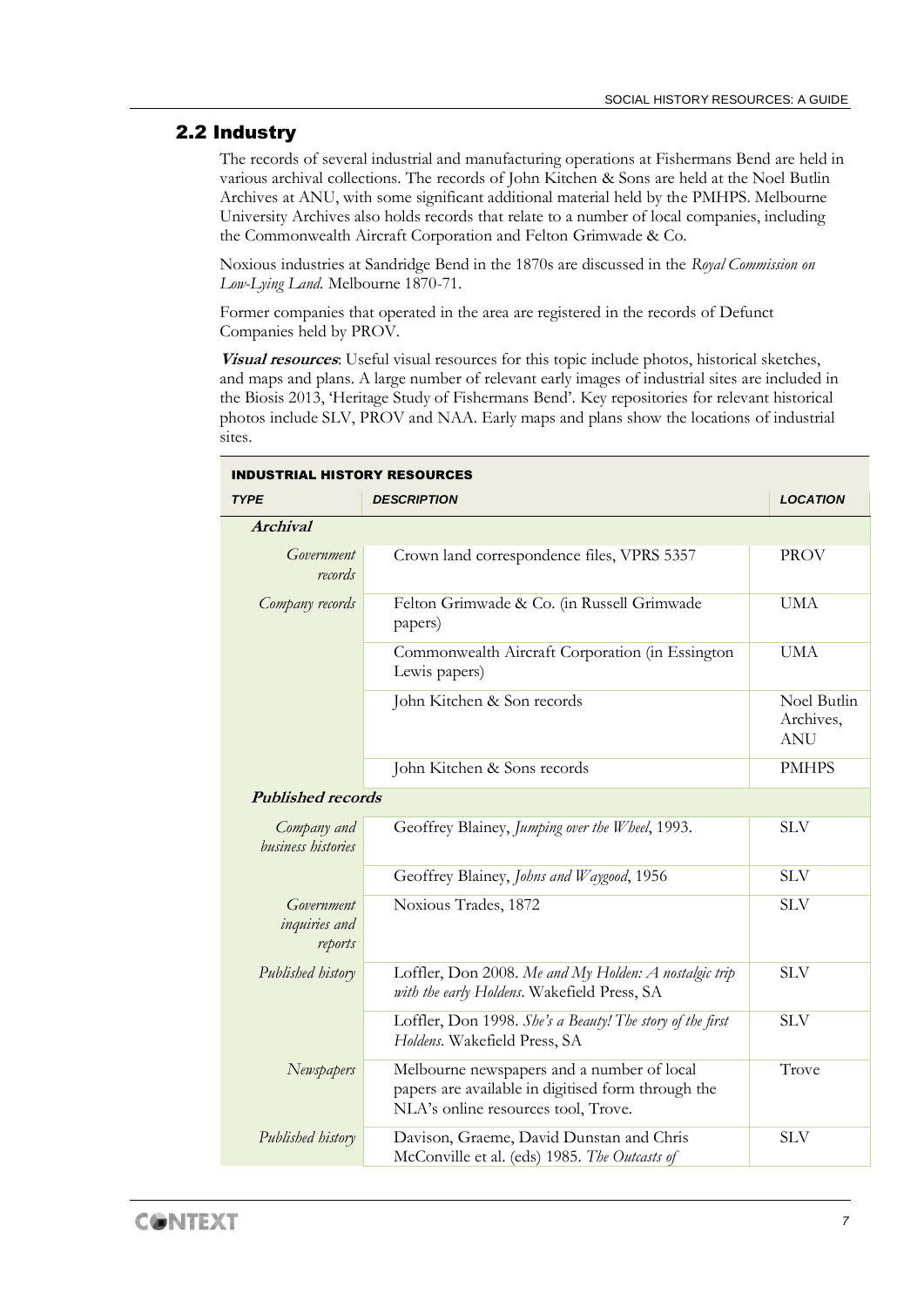### <span id="page-11-0"></span>2.2 Industry

The records of several industrial and manufacturing operations at Fishermans Bend are held in various archival collections. The records of John Kitchen & Sons are held at the Noel Butlin Archives at ANU, with some significant additional material held by the PMHPS. Melbourne University Archives also holds records that relate to a number of local companies, including the Commonwealth Aircraft Corporation and Felton Grimwade & Co.

Noxious industries at Sandridge Bend in the 1870s are discussed in the *Royal Commission on Low-Lying Land.* Melbourne 1870-71.

Former companies that operated in the area are registered in the records of Defunct Companies held by PROV.

**Visual resources**: Useful visual resources for this topic include photos, historical sketches, and maps and plans. A large number of relevant early images of industrial sites are included in the Biosis 2013, 'Heritage Study of Fishermans Bend'. Key repositories for relevant historical photos include SLV, PROV and NAA. Early maps and plans show the locations of industrial sites.

| <b>INDUSTRIAL HISTORY RESOURCES</b>    |                                                                                                                                         |                                        |  |  |
|----------------------------------------|-----------------------------------------------------------------------------------------------------------------------------------------|----------------------------------------|--|--|
| <b>TYPE</b>                            | <b>DESCRIPTION</b>                                                                                                                      | <b>LOCATION</b>                        |  |  |
| <b>Archival</b>                        |                                                                                                                                         |                                        |  |  |
| Government<br>records                  | Crown land correspondence files, VPRS 5357                                                                                              | <b>PROV</b>                            |  |  |
| Company records                        | Felton Grimwade & Co. (in Russell Grimwade<br>papers)                                                                                   | <b>UMA</b>                             |  |  |
|                                        | Commonwealth Aircraft Corporation (in Essington<br>Lewis papers)                                                                        | <b>UMA</b>                             |  |  |
|                                        | John Kitchen & Son records                                                                                                              | Noel Butlin<br>Archives,<br><b>ANU</b> |  |  |
|                                        | John Kitchen & Sons records                                                                                                             | <b>PMHPS</b>                           |  |  |
| <b>Published records</b>               |                                                                                                                                         |                                        |  |  |
| Company and<br>business histories      | Geoffrey Blainey, Jumping over the Wheel, 1993.                                                                                         | <b>SLV</b>                             |  |  |
|                                        | Geoffrey Blainey, Johns and Waygood, 1956                                                                                               | <b>SLV</b>                             |  |  |
| Government<br>inquiries and<br>reports | Noxious Trades, 1872                                                                                                                    | <b>SLV</b>                             |  |  |
| Published history                      | Loffler, Don 2008. Me and My Holden: A nostalgic trip<br>with the early Holdens. Wakefield Press, SA                                    | <b>SLV</b>                             |  |  |
|                                        | Loffler, Don 1998. She's a Beauty! The story of the first<br>Holdens. Wakefield Press, SA                                               | <b>SLV</b>                             |  |  |
| Newspapers                             | Melbourne newspapers and a number of local<br>papers are available in digitised form through the<br>NLA's online resources tool, Trove. | Trove                                  |  |  |
| Published history                      | Davison, Graeme, David Dunstan and Chris<br>McConville et al. (eds) 1985. The Outcasts of                                               | <b>SLV</b>                             |  |  |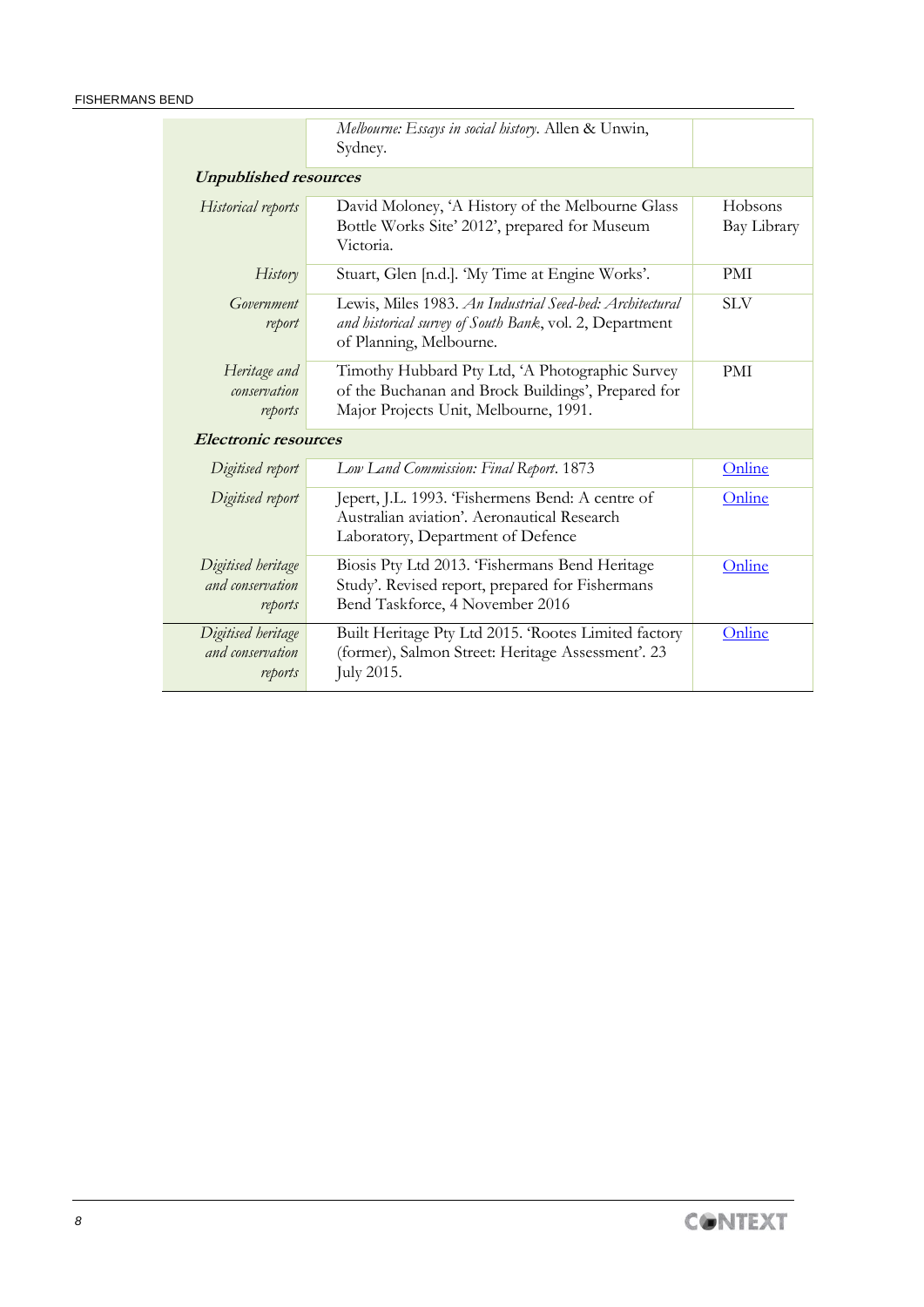|                                                   | Melbourne: Essays in social history. Allen & Unwin,<br>Sydney.                                                                                 |                        |
|---------------------------------------------------|------------------------------------------------------------------------------------------------------------------------------------------------|------------------------|
| <b>Unpublished resources</b>                      |                                                                                                                                                |                        |
| Historical reports                                | David Moloney, 'A History of the Melbourne Glass<br>Bottle Works Site' 2012', prepared for Museum<br>Victoria.                                 | Hobsons<br>Bay Library |
| History                                           | Stuart, Glen [n.d.]. 'My Time at Engine Works'.                                                                                                | <b>PMI</b>             |
| Government<br>report                              | Lewis, Miles 1983. An Industrial Seed-bed: Architectural<br>and historical survey of South Bank, vol. 2, Department<br>of Planning, Melbourne. | <b>SLV</b>             |
| Heritage and<br>conservation<br>reports           | Timothy Hubbard Pty Ltd, 'A Photographic Survey<br>of the Buchanan and Brock Buildings', Prepared for<br>Major Projects Unit, Melbourne, 1991. | <b>PMI</b>             |
| <b>Electronic resources</b>                       |                                                                                                                                                |                        |
| Digitised report                                  | Low Land Commission: Final Report. 1873                                                                                                        | Online                 |
| Digitised report                                  | Jepert, J.L. 1993. 'Fishermens Bend: A centre of<br>Australian aviation'. Aeronautical Research<br>Laboratory, Department of Defence           | Online                 |
| Digitised heritage<br>and conservation<br>reports | Biosis Pty Ltd 2013. Fishermans Bend Heritage<br>Study'. Revised report, prepared for Fishermans<br>Bend Taskforce, 4 November 2016            | Online                 |
| Digitised heritage<br>and conservation<br>reports | Built Heritage Pty Ltd 2015. 'Rootes Limited factory<br>(former), Salmon Street: Heritage Assessment'. 23<br>July 2015.                        | Online                 |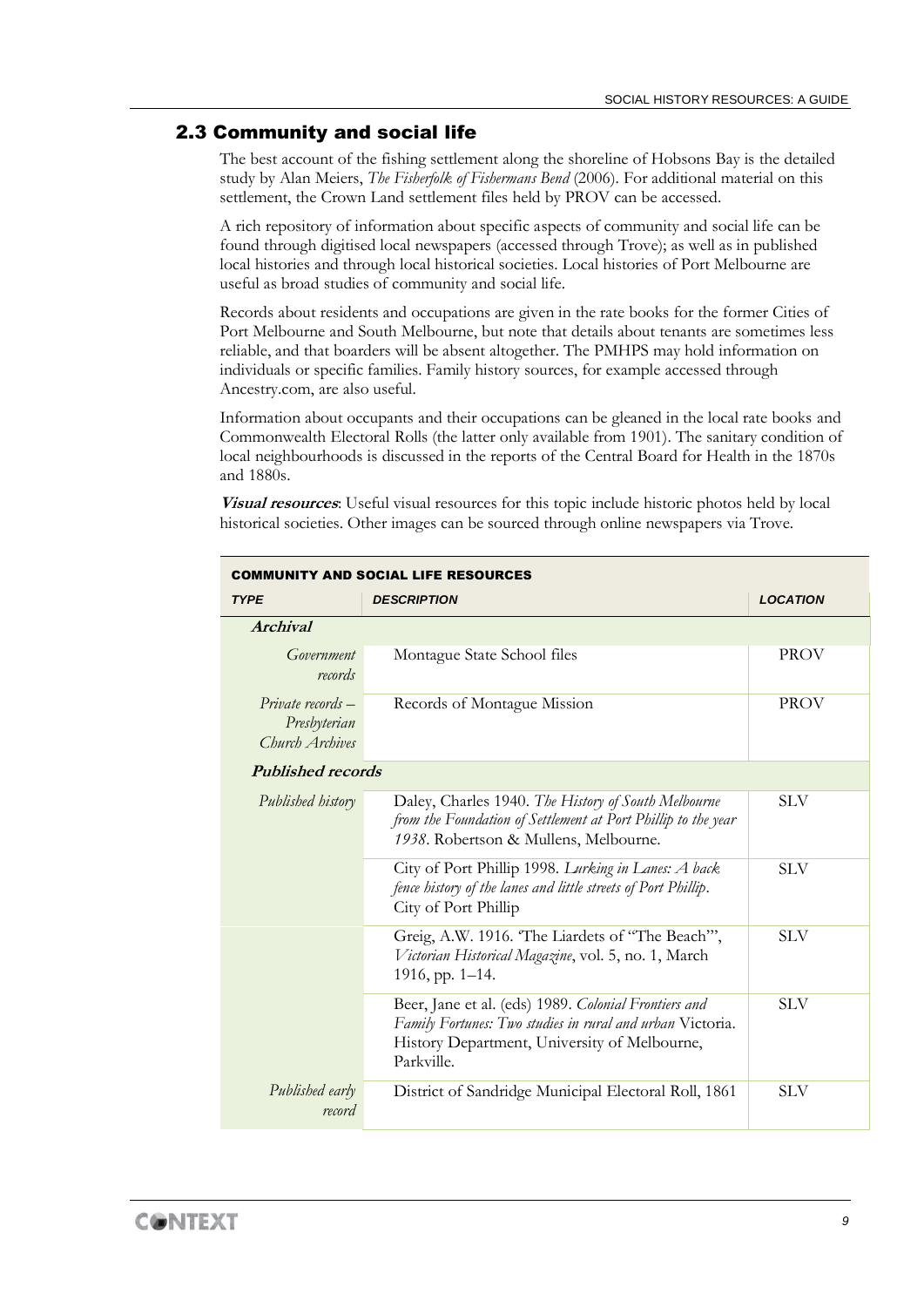### <span id="page-13-0"></span>2.3 Community and social life

The best account of the fishing settlement along the shoreline of Hobsons Bay is the detailed study by Alan Meiers, *The Fisherfolk of Fishermans Bend* (2006). For additional material on this settlement, the Crown Land settlement files held by PROV can be accessed.

A rich repository of information about specific aspects of community and social life can be found through digitised local newspapers (accessed through Trove); as well as in published local histories and through local historical societies. Local histories of Port Melbourne are useful as broad studies of community and social life.

Records about residents and occupations are given in the rate books for the former Cities of Port Melbourne and South Melbourne, but note that details about tenants are sometimes less reliable, and that boarders will be absent altogether. The PMHPS may hold information on individuals or specific families. Family history sources, for example accessed through Ancestry.com, are also useful.

Information about occupants and their occupations can be gleaned in the local rate books and Commonwealth Electoral Rolls (the latter only available from 1901). The sanitary condition of local neighbourhoods is discussed in the reports of the Central Board for Health in the 1870s and 1880s.

**Visual resources**: Useful visual resources for this topic include historic photos held by local historical societies. Other images can be sourced through online newspapers via Trove.

| <b>COMMUNITY AND SOCIAL LIFE RESOURCES</b>               |                                                                                                                                                                                 |                 |  |  |
|----------------------------------------------------------|---------------------------------------------------------------------------------------------------------------------------------------------------------------------------------|-----------------|--|--|
| <b>TYPE</b>                                              | <b>DESCRIPTION</b>                                                                                                                                                              | <b>LOCATION</b> |  |  |
| <b>Archival</b>                                          |                                                                                                                                                                                 |                 |  |  |
| Government<br>records                                    | Montague State School files                                                                                                                                                     | <b>PROV</b>     |  |  |
| $Private$ records $-$<br>Presbyterian<br>Church Archives | Records of Montague Mission                                                                                                                                                     | <b>PROV</b>     |  |  |
| <b>Published records</b>                                 |                                                                                                                                                                                 |                 |  |  |
| Published history                                        | Daley, Charles 1940. The History of South Melbourne<br>from the Foundation of Settlement at Port Phillip to the year<br>1938. Robertson & Mullens, Melbourne.                   | <b>SLV</b>      |  |  |
|                                                          | City of Port Phillip 1998. Lurking in Lanes: A back<br>fence history of the lanes and little streets of Port Phillip.<br>City of Port Phillip                                   | <b>SLV</b>      |  |  |
|                                                          | Greig, A.W. 1916. 'The Liardets of "The Beach"',<br>Victorian Historical Magazine, vol. 5, no. 1, March<br>1916, pp. 1-14.                                                      | <b>SLV</b>      |  |  |
|                                                          | Beer, Jane et al. (eds) 1989. Colonial Frontiers and<br>Family Fortunes: Two studies in rural and urban Victoria.<br>History Department, University of Melbourne,<br>Parkville. | <b>SLV</b>      |  |  |
| Published early<br>record                                | District of Sandridge Municipal Electoral Roll, 1861                                                                                                                            | <b>SLV</b>      |  |  |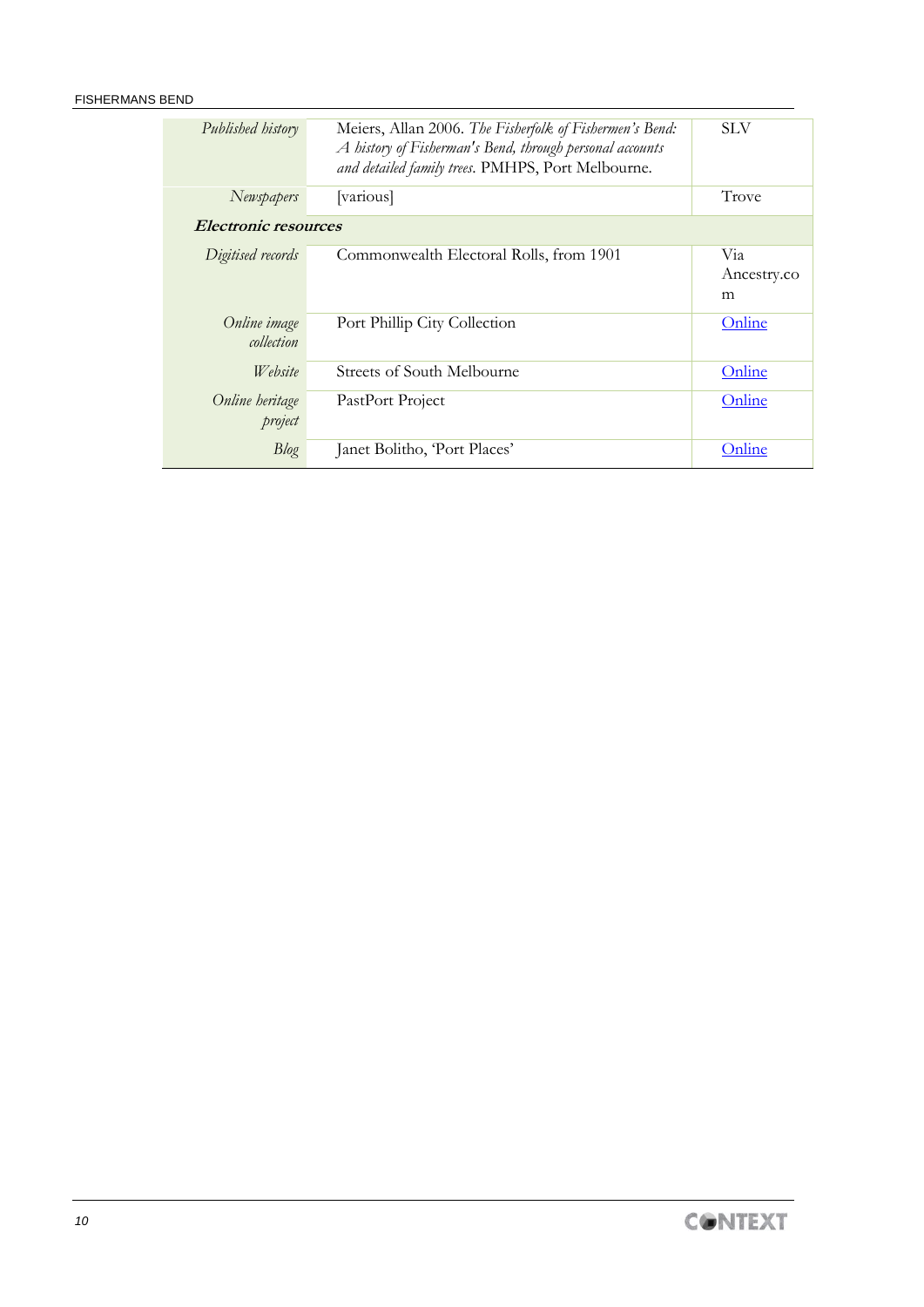#### FISHERMANS BEND

| Published history           | Meiers, Allan 2006. The Fisherfolk of Fishermen's Bend:<br>A history of Fisherman's Bend, through personal accounts<br>and detailed family trees. PMHPS, Port Melbourne. | SLV                     |
|-----------------------------|--------------------------------------------------------------------------------------------------------------------------------------------------------------------------|-------------------------|
| Newspapers                  | [various]                                                                                                                                                                | Trove                   |
| <i>Electronic resources</i> |                                                                                                                                                                          |                         |
| Digitised records           | Commonwealth Electoral Rolls, from 1901                                                                                                                                  | Via<br>Ancestry.co<br>m |
| Online image<br>collection  | Port Phillip City Collection                                                                                                                                             | Online                  |
| <i>Website</i>              | Streets of South Melbourne                                                                                                                                               | Online                  |
| Online heritage<br>project  | PastPort Project                                                                                                                                                         | Online                  |
| Blog                        | Janet Bolitho, 'Port Places'                                                                                                                                             | Online                  |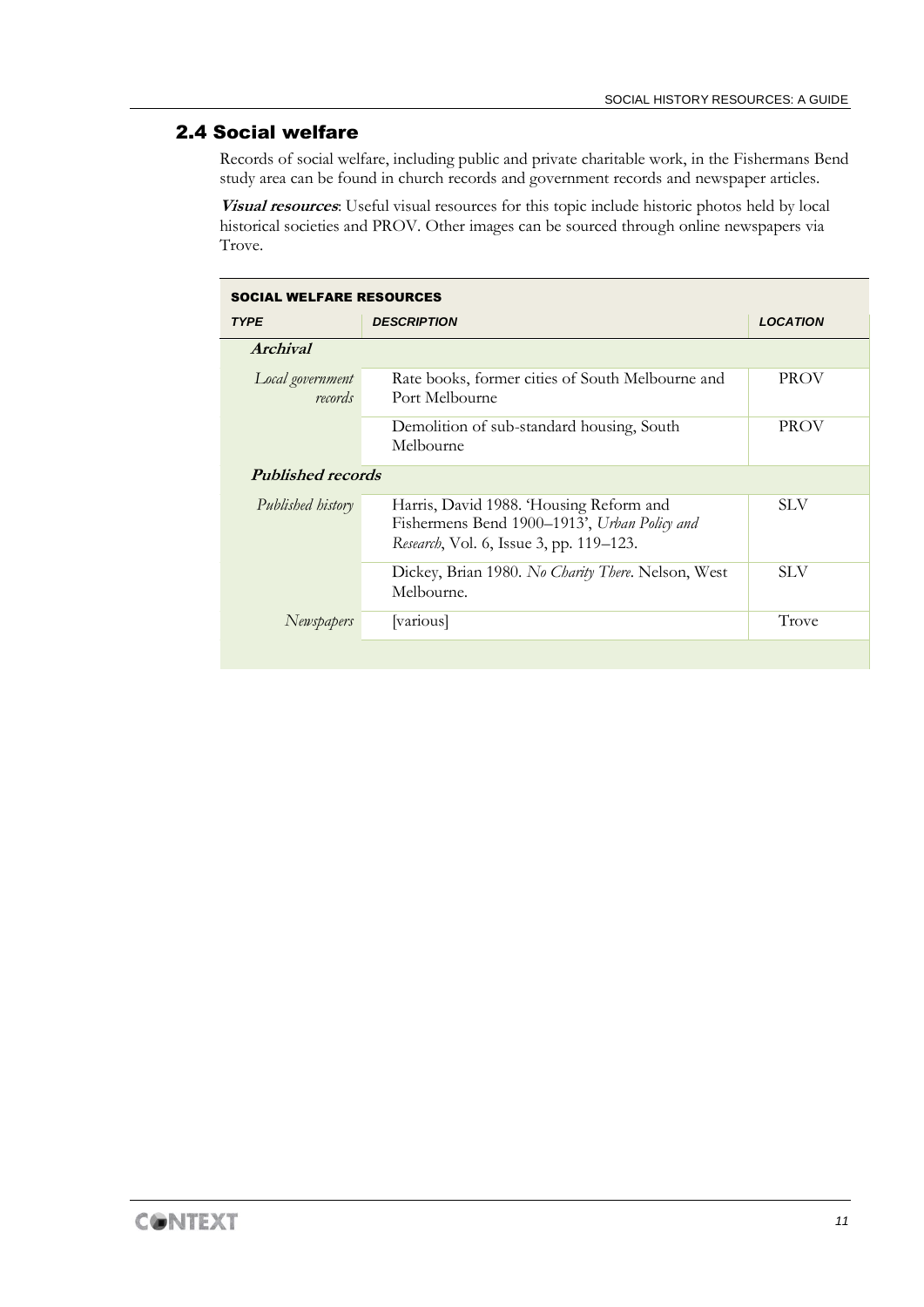## <span id="page-15-0"></span>2.4 Social welfare

Records of social welfare, including public and private charitable work, in the Fishermans Bend study area can be found in church records and government records and newspaper articles.

**Visual resources**: Useful visual resources for this topic include historic photos held by local historical societies and PROV. Other images can be sourced through online newspapers via Trove.

| <b>SOCIAL WELFARE RESOURCES</b> |                                                                                                                                    |                 |  |
|---------------------------------|------------------------------------------------------------------------------------------------------------------------------------|-----------------|--|
| <b>TYPE</b>                     | <b>DESCRIPTION</b>                                                                                                                 | <b>LOCATION</b> |  |
| <i><b>Archival</b></i>          |                                                                                                                                    |                 |  |
| Local government<br>records     | Rate books, former cities of South Melbourne and<br>Port Melbourne                                                                 | PROV            |  |
|                                 | Demolition of sub-standard housing, South<br>Melbourne                                                                             | PROV            |  |
| <b>Published records</b>        |                                                                                                                                    |                 |  |
| Published history               | Harris, David 1988. 'Housing Reform and<br>Fishermens Bend 1900-1913', Urban Policy and<br>Research, Vol. 6, Issue 3, pp. 119–123. | SLV             |  |
|                                 | Dickey, Brian 1980. No Charity There. Nelson, West<br>Melbourne.                                                                   | <b>SLV</b>      |  |
| Newspapers                      | [various]                                                                                                                          | Trove           |  |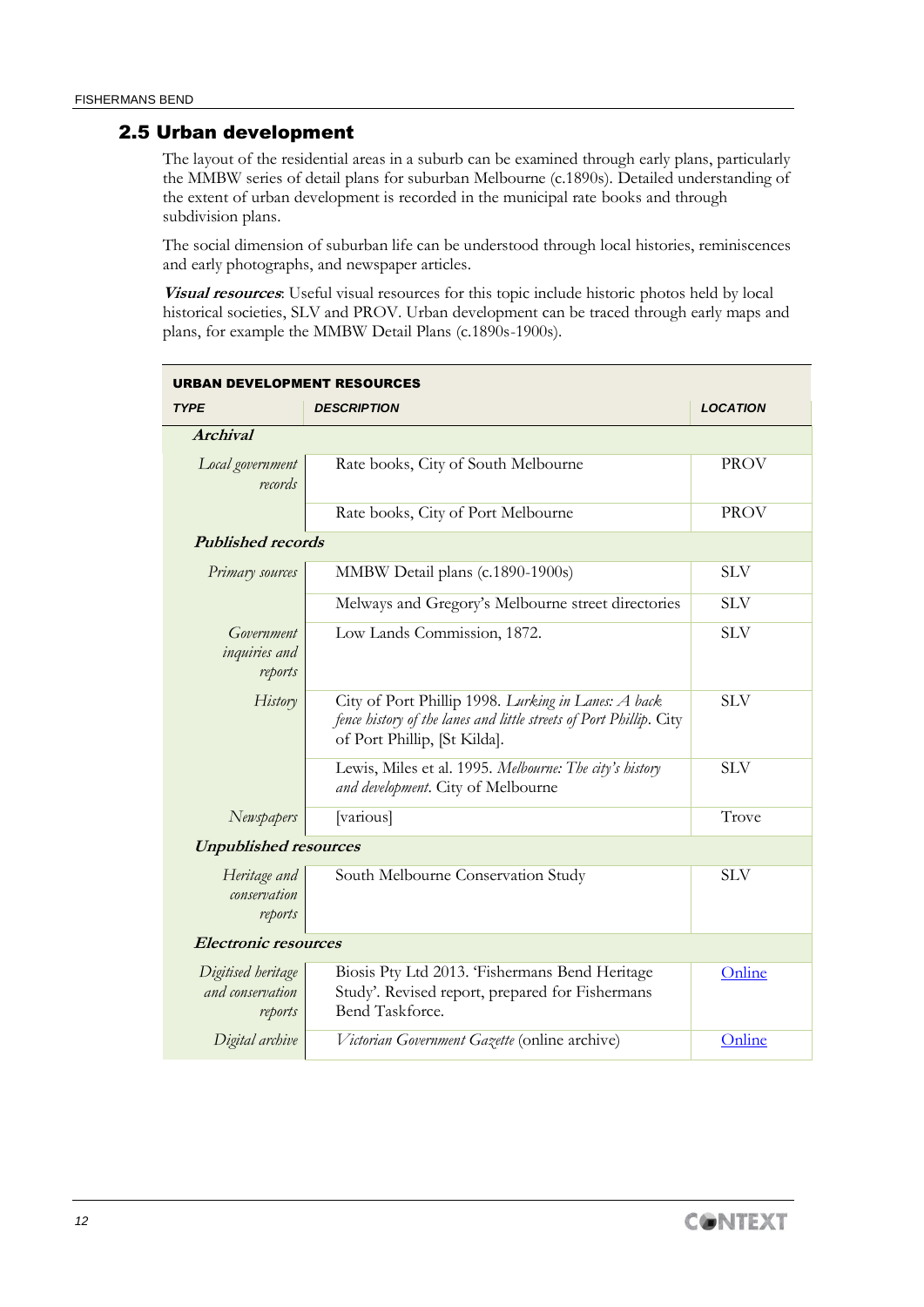### <span id="page-16-0"></span>2.5 Urban development

The layout of the residential areas in a suburb can be examined through early plans, particularly the MMBW series of detail plans for suburban Melbourne (c.1890s). Detailed understanding of the extent of urban development is recorded in the municipal rate books and through subdivision plans.

The social dimension of suburban life can be understood through local histories, reminiscences and early photographs, and newspaper articles.

**Visual resources**: Useful visual resources for this topic include historic photos held by local historical societies, SLV and PROV. Urban development can be traced through early maps and plans, for example the MMBW Detail Plans (c.1890s-1900s).

| <b>URBAN DEVELOPMENT RESOURCES</b>                |                                                                                                                                                            |                 |  |  |
|---------------------------------------------------|------------------------------------------------------------------------------------------------------------------------------------------------------------|-----------------|--|--|
| <b>TYPE</b>                                       | <b>DESCRIPTION</b>                                                                                                                                         | <b>LOCATION</b> |  |  |
| <b>Archival</b>                                   |                                                                                                                                                            |                 |  |  |
| Local government<br>records                       | Rate books, City of South Melbourne                                                                                                                        | <b>PROV</b>     |  |  |
|                                                   | Rate books, City of Port Melbourne                                                                                                                         | <b>PROV</b>     |  |  |
| <b>Published records</b>                          |                                                                                                                                                            |                 |  |  |
| Primary sources                                   | MMBW Detail plans (c.1890-1900s)                                                                                                                           | <b>SLV</b>      |  |  |
|                                                   | Melways and Gregory's Melbourne street directories                                                                                                         | <b>SLV</b>      |  |  |
| Government<br>inquiries and<br>reports            | Low Lands Commission, 1872.                                                                                                                                | <b>SLV</b>      |  |  |
| History                                           | City of Port Phillip 1998. Lurking in Lanes: A back<br>fence history of the lanes and little streets of Port Phillip. City<br>of Port Phillip, [St Kilda]. | <b>SLV</b>      |  |  |
|                                                   | Lewis, Miles et al. 1995. Melbourne: The city's history<br>and development. City of Melbourne                                                              | <b>SLV</b>      |  |  |
| Newspapers                                        | [various]                                                                                                                                                  | Trove           |  |  |
| <b>Unpublished resources</b>                      |                                                                                                                                                            |                 |  |  |
| Heritage and<br>conservation<br>reports           | South Melbourne Conservation Study                                                                                                                         | <b>SLV</b>      |  |  |
| <b>Electronic resources</b>                       |                                                                                                                                                            |                 |  |  |
| Digitised heritage<br>and conservation<br>reports | Biosis Pty Ltd 2013. 'Fishermans Bend Heritage<br>Study'. Revised report, prepared for Fishermans<br>Bend Taskforce.                                       | Online          |  |  |
| Digital archive                                   | Victorian Government Gazette (online archive)                                                                                                              | Online          |  |  |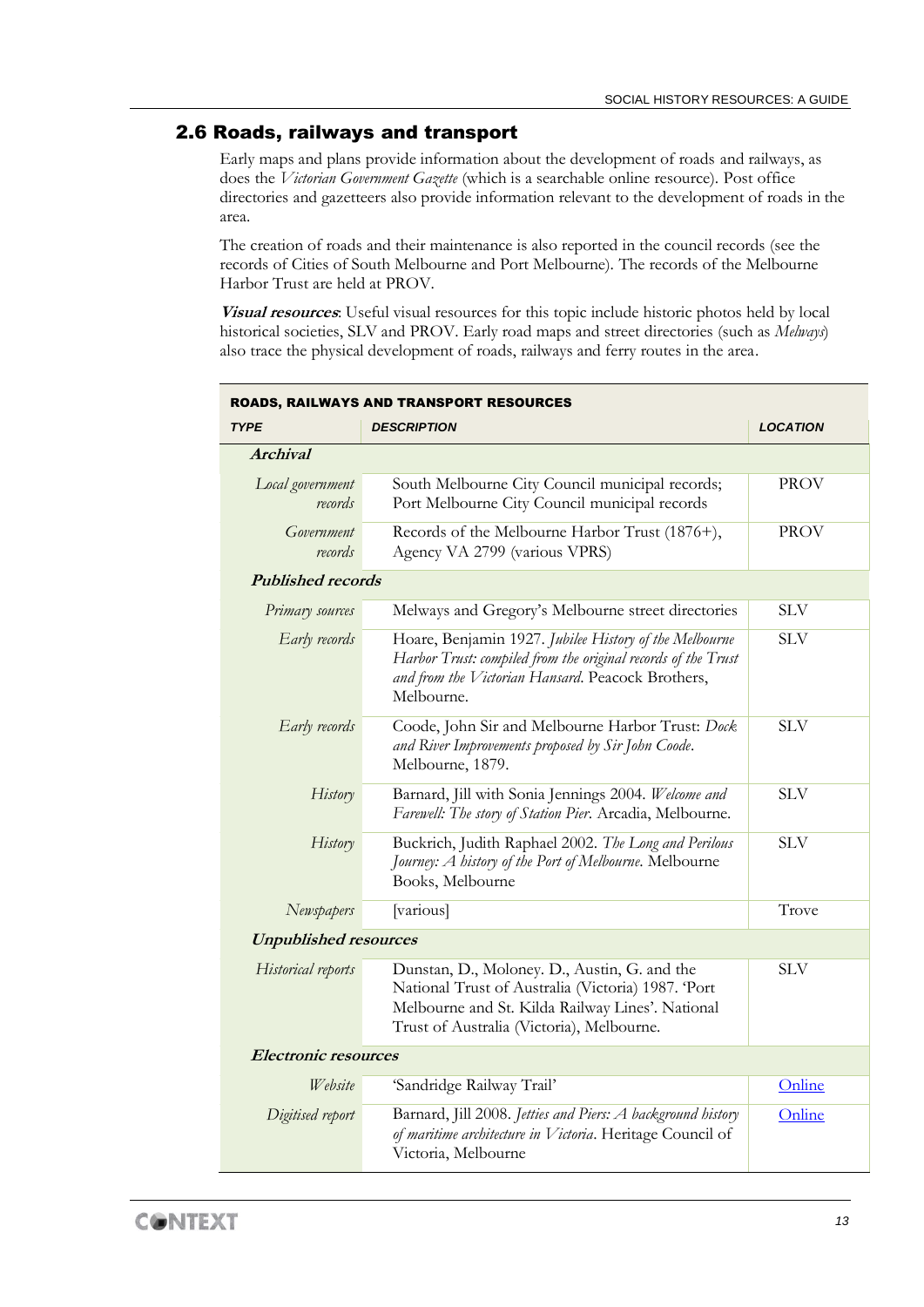### <span id="page-17-0"></span>2.6 Roads, railways and transport

Early maps and plans provide information about the development of roads and railways, as does the *Victorian Government Gazette* (which is a searchable online resource). Post office directories and gazetteers also provide information relevant to the development of roads in the area.

The creation of roads and their maintenance is also reported in the council records (see the records of Cities of South Melbourne and Port Melbourne). The records of the Melbourne Harbor Trust are held at PROV.

**Visual resources**: Useful visual resources for this topic include historic photos held by local historical societies, SLV and PROV. Early road maps and street directories (such as *Melways*) also trace the physical development of roads, railways and ferry routes in the area.

| <b>ROADS, RAILWAYS AND TRANSPORT RESOURCES</b> |                                                                                                                                                                                                    |                 |  |  |
|------------------------------------------------|----------------------------------------------------------------------------------------------------------------------------------------------------------------------------------------------------|-----------------|--|--|
| <b>TYPE</b>                                    | <b>DESCRIPTION</b>                                                                                                                                                                                 | <b>LOCATION</b> |  |  |
| <b>Archival</b>                                |                                                                                                                                                                                                    |                 |  |  |
| Local government<br>records                    | South Melbourne City Council municipal records;<br>Port Melbourne City Council municipal records                                                                                                   | <b>PROV</b>     |  |  |
| Government<br>records                          | Records of the Melbourne Harbor Trust (1876+),<br>Agency VA 2799 (various VPRS)                                                                                                                    | <b>PROV</b>     |  |  |
| <b>Published records</b>                       |                                                                                                                                                                                                    |                 |  |  |
| Primary sources                                | Melways and Gregory's Melbourne street directories                                                                                                                                                 | <b>SLV</b>      |  |  |
| Early records                                  | Hoare, Benjamin 1927. Jubilee History of the Melbourne<br>Harbor Trust: compiled from the original records of the Trust<br>and from the Victorian Hansard. Peacock Brothers,<br>Melbourne.         | <b>SLV</b>      |  |  |
| Early records                                  | Coode, John Sir and Melbourne Harbor Trust: Dock<br>and River Improvements proposed by Sir John Coode.<br>Melbourne, 1879.                                                                         | <b>SLV</b>      |  |  |
| History                                        | Barnard, Jill with Sonia Jennings 2004. Welcome and<br>Farewell: The story of Station Pier. Arcadia, Melbourne.                                                                                    | <b>SLV</b>      |  |  |
| History                                        | Buckrich, Judith Raphael 2002. The Long and Perilous<br>Journey: A history of the Port of Melbourne. Melbourne<br>Books, Melbourne                                                                 | <b>SLV</b>      |  |  |
| Newspapers                                     | [various]                                                                                                                                                                                          | Trove           |  |  |
| <b>Unpublished resources</b>                   |                                                                                                                                                                                                    |                 |  |  |
| Historical reports                             | Dunstan, D., Moloney. D., Austin, G. and the<br>National Trust of Australia (Victoria) 1987. Port<br>Melbourne and St. Kilda Railway Lines'. National<br>Trust of Australia (Victoria), Melbourne. | <b>SLV</b>      |  |  |
| <b>Electronic resources</b>                    |                                                                                                                                                                                                    |                 |  |  |
| <i>Website</i>                                 | 'Sandridge Railway Trail'                                                                                                                                                                          | Online          |  |  |
| Digitised report                               | Barnard, Jill 2008. Jetties and Piers: A background history<br>of maritime architecture in Victoria. Heritage Council of<br>Victoria, Melbourne                                                    | Online          |  |  |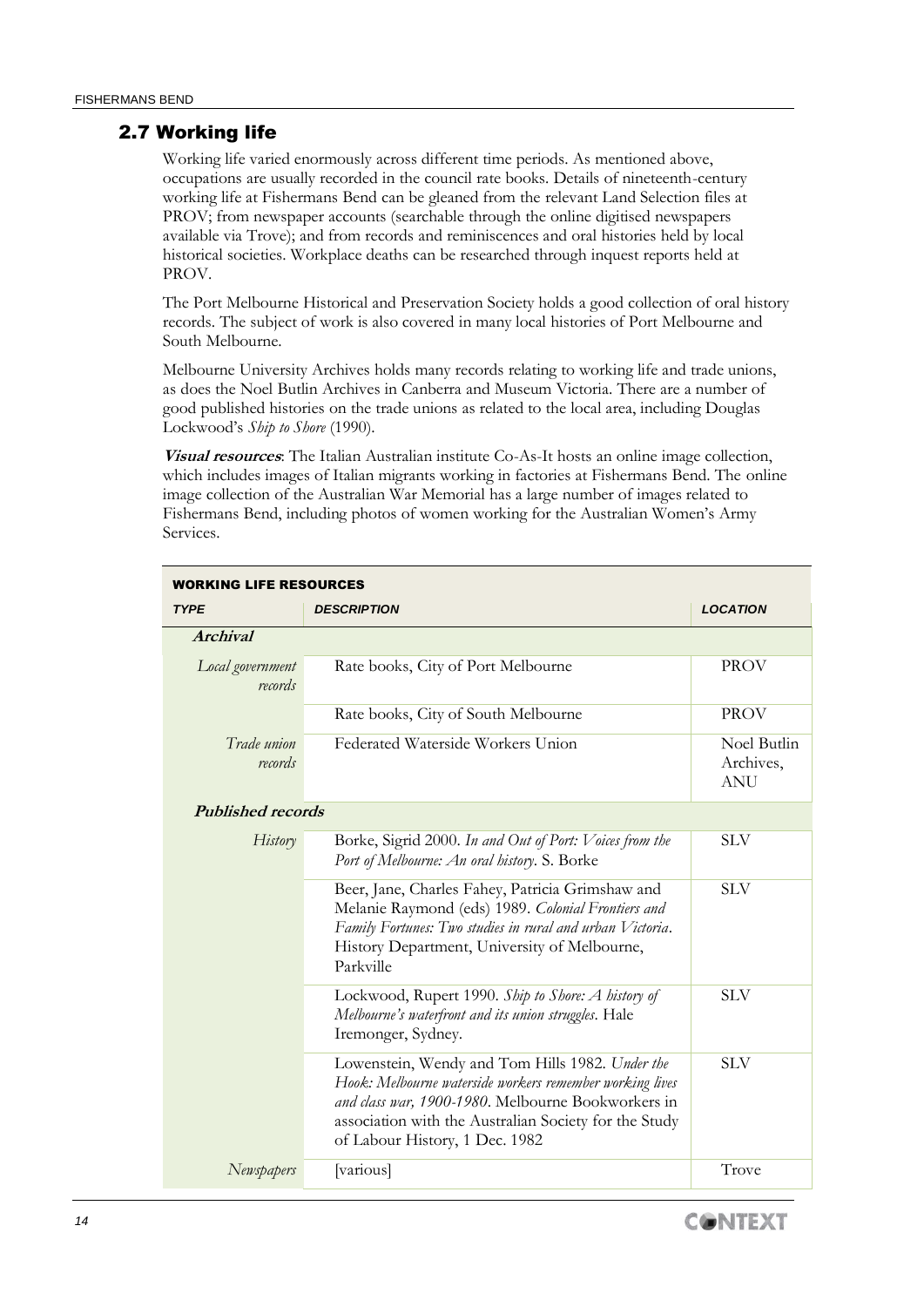### <span id="page-18-0"></span>2.7 Working life

Working life varied enormously across different time periods. As mentioned above, occupations are usually recorded in the council rate books. Details of nineteenth-century working life at Fishermans Bend can be gleaned from the relevant Land Selection files at PROV; from newspaper accounts (searchable through the online digitised newspapers available via Trove); and from records and reminiscences and oral histories held by local historical societies. Workplace deaths can be researched through inquest reports held at PROV.

The Port Melbourne Historical and Preservation Society holds a good collection of oral history records. The subject of work is also covered in many local histories of Port Melbourne and South Melbourne.

Melbourne University Archives holds many records relating to working life and trade unions, as does the Noel Butlin Archives in Canberra and Museum Victoria. There are a number of good published histories on the trade unions as related to the local area, including Douglas Lockwood's *Ship to Shore* (1990).

**Visual resources**: The Italian Australian institute Co-As-It hosts an online image collection, which includes images of Italian migrants working in factories at Fishermans Bend. The online image collection of the Australian War Memorial has a large number of images related to Fishermans Bend, including photos of women working for the Australian Women's Army Services.

| <b>WORKING LIFE RESOURCES</b> |                                                                                                                                                                                                                                                              |                                        |
|-------------------------------|--------------------------------------------------------------------------------------------------------------------------------------------------------------------------------------------------------------------------------------------------------------|----------------------------------------|
| <b>TYPE</b>                   | <b>DESCRIPTION</b>                                                                                                                                                                                                                                           | <b>LOCATION</b>                        |
| <b>Archival</b>               |                                                                                                                                                                                                                                                              |                                        |
| Local government<br>records   | Rate books, City of Port Melbourne                                                                                                                                                                                                                           | <b>PROV</b>                            |
|                               | Rate books, City of South Melbourne                                                                                                                                                                                                                          | <b>PROV</b>                            |
| Trade union<br>records        | Federated Waterside Workers Union                                                                                                                                                                                                                            | Noel Butlin<br>Archives,<br><b>ANU</b> |
| <b>Published records</b>      |                                                                                                                                                                                                                                                              |                                        |
| History                       | Borke, Sigrid 2000. In and Out of Port: Voices from the<br>Port of Melbourne: An oral history. S. Borke                                                                                                                                                      | <b>SLV</b>                             |
|                               | Beer, Jane, Charles Fahey, Patricia Grimshaw and<br>Melanie Raymond (eds) 1989. Colonial Frontiers and<br>Family Fortunes: Two studies in rural and urban Victoria.<br>History Department, University of Melbourne,<br>Parkville                             | <b>SLV</b>                             |
|                               | Lockwood, Rupert 1990. Ship to Shore: A history of<br>Melbourne's waterfront and its union struggles. Hale<br>Iremonger, Sydney.                                                                                                                             | <b>SLV</b>                             |
|                               | Lowenstein, Wendy and Tom Hills 1982. Under the<br>Hook: Melbourne waterside workers remember working lives<br>and class war, 1900-1980. Melbourne Bookworkers in<br>association with the Australian Society for the Study<br>of Labour History, 1 Dec. 1982 | <b>SLV</b>                             |
| Newspapers                    | [various]                                                                                                                                                                                                                                                    | Trove                                  |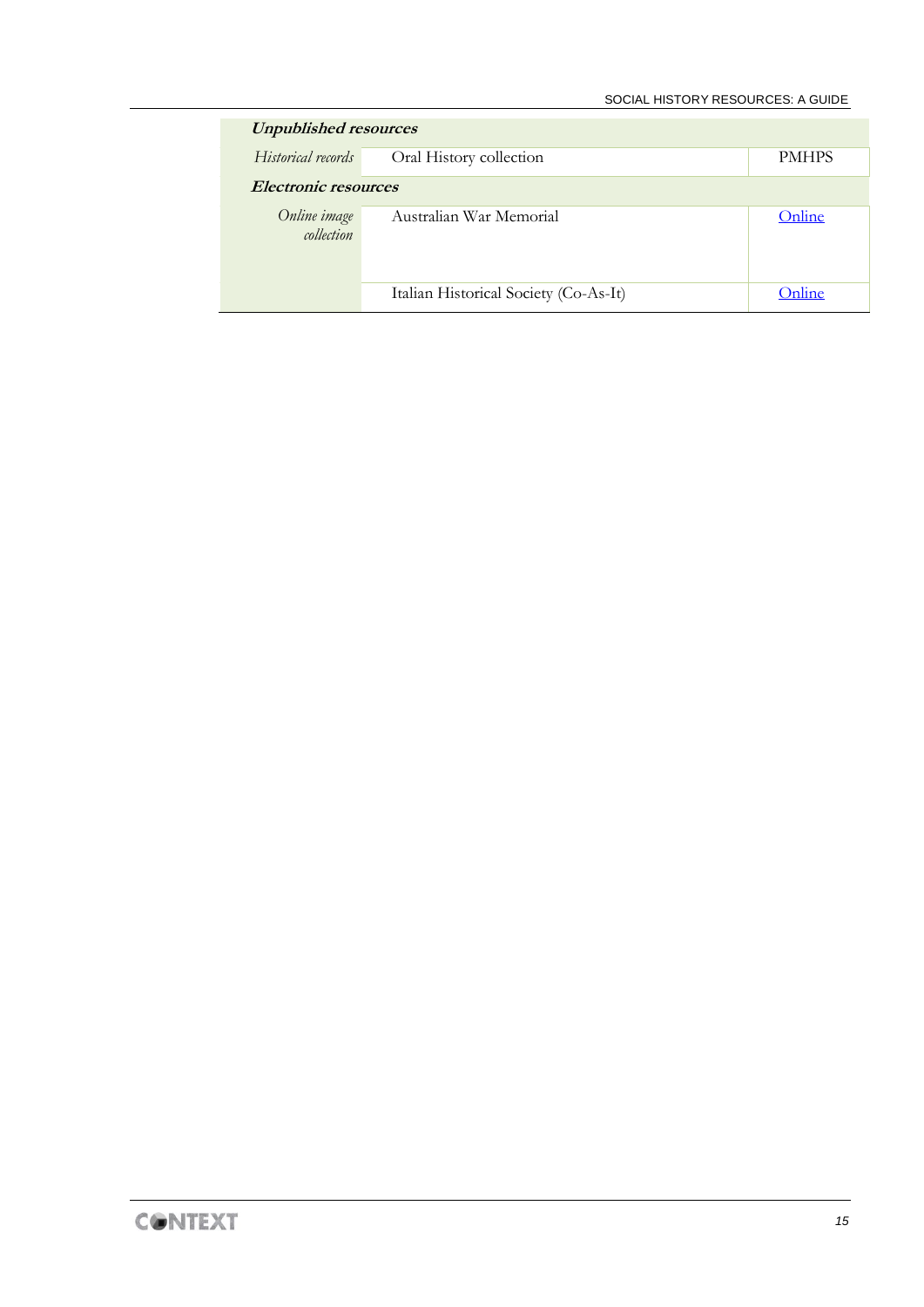| <b>Unpublished resources</b> |                                       |              |
|------------------------------|---------------------------------------|--------------|
| Historical records           | Oral History collection               | <b>PMHPS</b> |
| Electronic resources         |                                       |              |
| Online image<br>collection   | Australian War Memorial               | Online       |
|                              | Italian Historical Society (Co-As-It) | Online       |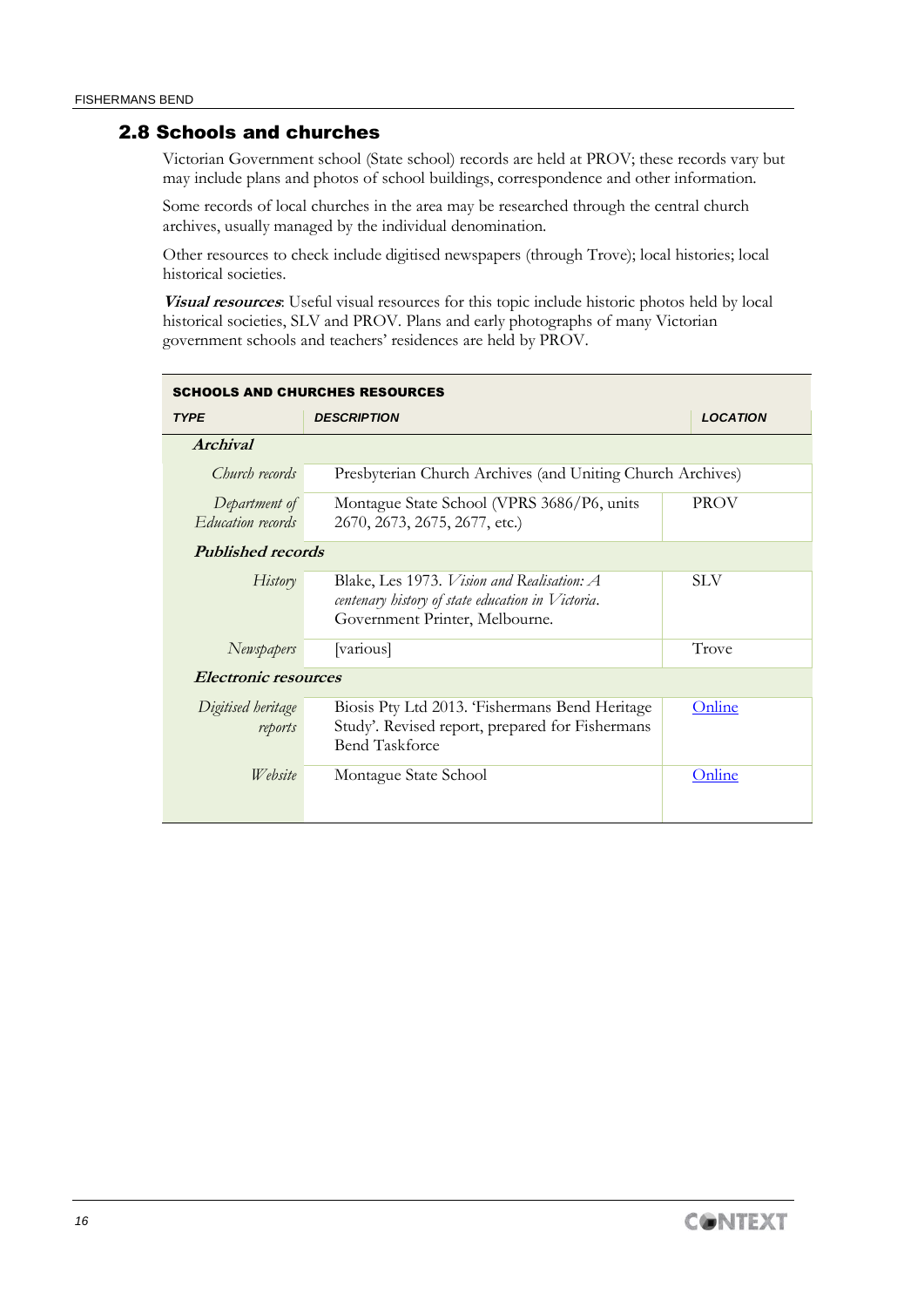### <span id="page-20-0"></span>2.8 Schools and churches

Victorian Government school (State school) records are held at PROV; these records vary but may include plans and photos of school buildings, correspondence and other information.

Some records of local churches in the area may be researched through the central church archives, usually managed by the individual denomination.

Other resources to check include digitised newspapers (through Trove); local histories; local historical societies.

**Visual resources**: Useful visual resources for this topic include historic photos held by local historical societies, SLV and PROV. Plans and early photographs of many Victorian government schools and teachers' residences are held by PROV.

| <b>SCHOOLS AND CHURCHES RESOURCES</b> |                                                                                                                                          |                 |
|---------------------------------------|------------------------------------------------------------------------------------------------------------------------------------------|-----------------|
| <b>TYPE</b>                           | <b>DESCRIPTION</b>                                                                                                                       | <b>LOCATION</b> |
| <b>Archival</b>                       |                                                                                                                                          |                 |
| Church records                        | Presbyterian Church Archives (and Uniting Church Archives)                                                                               |                 |
| Department of<br>Education records    | Montague State School (VPRS 3686/P6, units<br>2670, 2673, 2675, 2677, etc.)                                                              | <b>PROV</b>     |
| <b>Published records</b>              |                                                                                                                                          |                 |
| History                               | Blake, Les 1973. <i>Vision and Realisation: A</i><br>centenary history of state education in Victoria.<br>Government Printer, Melbourne. | <b>SLV</b>      |
| Newspapers                            | [various]                                                                                                                                | Trove           |
| <i>Electronic resources</i>           |                                                                                                                                          |                 |
| Digitised heritage<br>reports         | Biosis Pty Ltd 2013. 'Fishermans Bend Heritage<br>Study'. Revised report, prepared for Fishermans<br>Bend Taskforce                      | Online          |
| <i>Website</i>                        | Montague State School                                                                                                                    | Online          |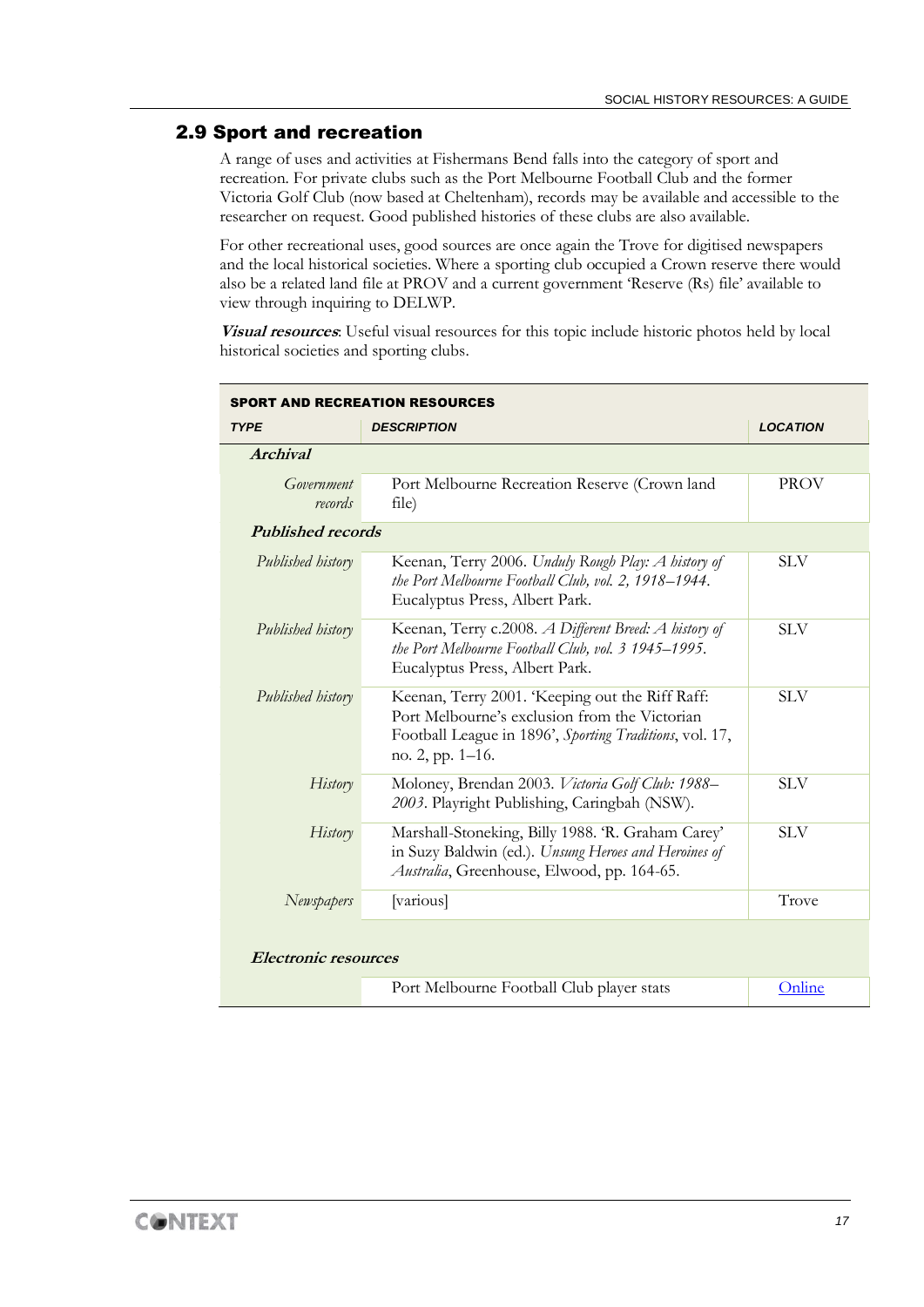### <span id="page-21-0"></span>2.9 Sport and recreation

A range of uses and activities at Fishermans Bend falls into the category of sport and recreation. For private clubs such as the Port Melbourne Football Club and the former Victoria Golf Club (now based at Cheltenham), records may be available and accessible to the researcher on request. Good published histories of these clubs are also available.

For other recreational uses, good sources are once again the Trove for digitised newspapers and the local historical societies. Where a sporting club occupied a Crown reserve there would also be a related land file at PROV and a current government 'Reserve (Rs) file' available to view through inquiring to DELWP.

**Visual resources**: Useful visual resources for this topic include historic photos held by local historical societies and sporting clubs.

| <b>SPORT AND RECREATION RESOURCES</b> |                                                                                                                                                                                 |                 |
|---------------------------------------|---------------------------------------------------------------------------------------------------------------------------------------------------------------------------------|-----------------|
| <b>TYPE</b>                           | <b>DESCRIPTION</b>                                                                                                                                                              | <b>LOCATION</b> |
| <b>Archival</b>                       |                                                                                                                                                                                 |                 |
| Government<br>records                 | Port Melbourne Recreation Reserve (Crown land<br>file)                                                                                                                          | <b>PROV</b>     |
| <b>Published records</b>              |                                                                                                                                                                                 |                 |
| Published history                     | Keenan, Terry 2006. Unduly Rough Play: A history of<br>the Port Melbourne Football Club, vol. 2, 1918-1944.<br>Eucalyptus Press, Albert Park.                                   | <b>SLV</b>      |
| Published history                     | Keenan, Terry c.2008. A Different Breed: A history of<br>the Port Melbourne Football Club, vol. 3 1945-1995.<br>Eucalyptus Press, Albert Park.                                  | <b>SLV</b>      |
| Published history                     | Keenan, Terry 2001. 'Keeping out the Riff Raff:<br>Port Melbourne's exclusion from the Victorian<br>Football League in 1896', Sporting Traditions, vol. 17,<br>no. 2, pp. 1–16. | <b>SLV</b>      |
| History                               | Moloney, Brendan 2003. Victoria Golf Club: 1988-<br>2003. Playright Publishing, Caringbah (NSW).                                                                                | <b>SLV</b>      |
| History                               | Marshall-Stoneking, Billy 1988. 'R. Graham Carey'<br>in Suzy Baldwin (ed.). Unsung Heroes and Heroines of<br>Australia, Greenhouse, Elwood, pp. 164-65.                         | <b>SLV</b>      |
| Newspapers                            | [various]                                                                                                                                                                       | Trove           |
| Electronic resources                  |                                                                                                                                                                                 |                 |
|                                       | Port Melbourne Football Club player stats                                                                                                                                       | Online          |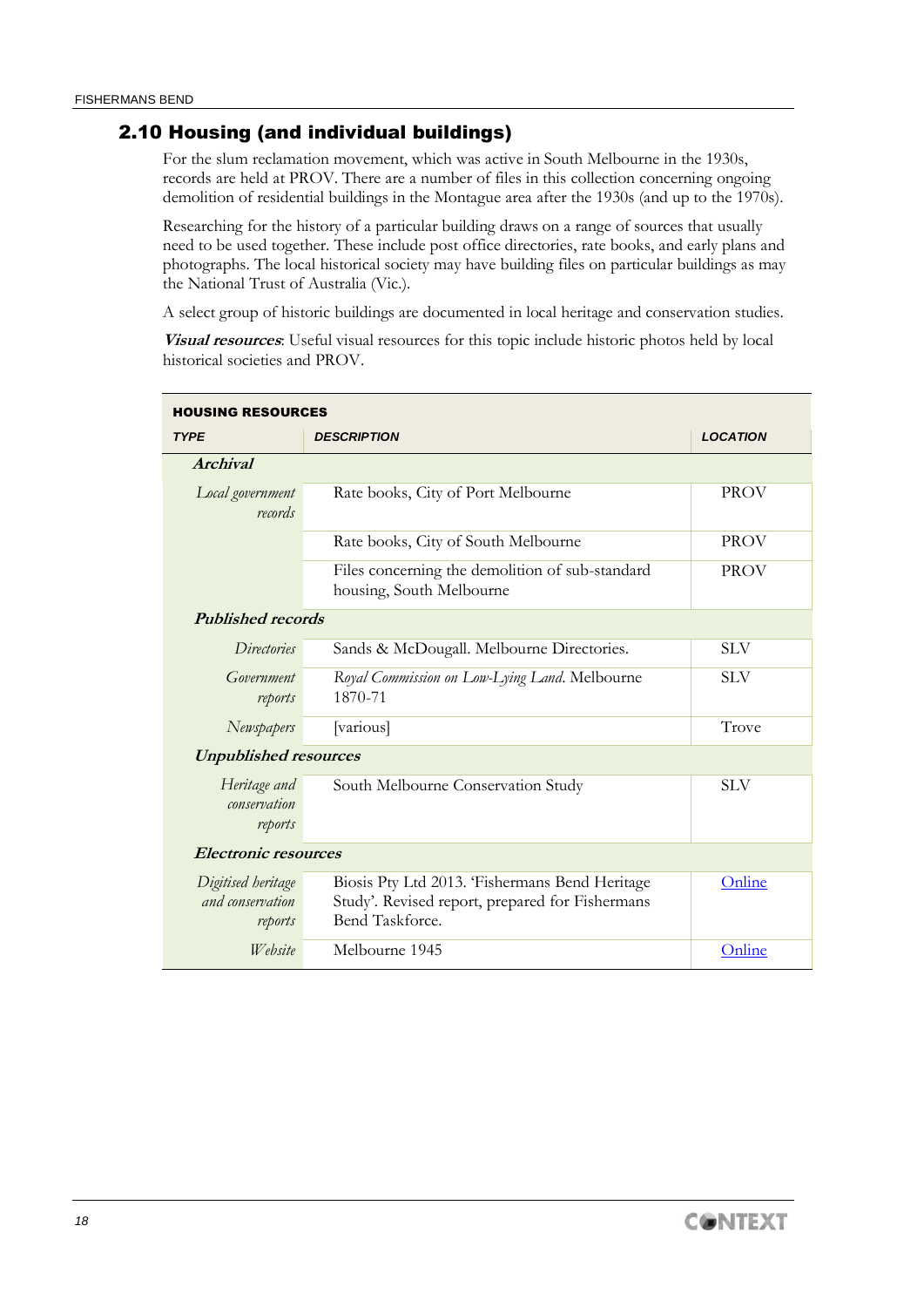### <span id="page-22-0"></span>2.10 Housing (and individual buildings)

For the slum reclamation movement, which was active in South Melbourne in the 1930s, records are held at PROV. There are a number of files in this collection concerning ongoing demolition of residential buildings in the Montague area after the 1930s (and up to the 1970s).

Researching for the history of a particular building draws on a range of sources that usually need to be used together. These include post office directories, rate books, and early plans and photographs. The local historical society may have building files on particular buildings as may the National Trust of Australia (Vic.).

A select group of historic buildings are documented in local heritage and conservation studies.

**Visual resources**: Useful visual resources for this topic include historic photos held by local historical societies and PROV.

| <b>HOUSING RESOURCES</b>                          |                                                                                                                      |                 |
|---------------------------------------------------|----------------------------------------------------------------------------------------------------------------------|-----------------|
| <b>TYPE</b>                                       | <b>DESCRIPTION</b>                                                                                                   | <b>LOCATION</b> |
| <b>Archival</b>                                   |                                                                                                                      |                 |
| Local government<br>records                       | Rate books, City of Port Melbourne                                                                                   | <b>PROV</b>     |
|                                                   | Rate books, City of South Melbourne                                                                                  | <b>PROV</b>     |
|                                                   | Files concerning the demolition of sub-standard<br>housing, South Melbourne                                          | <b>PROV</b>     |
| <b>Published records</b>                          |                                                                                                                      |                 |
| Directories                                       | Sands & McDougall. Melbourne Directories.                                                                            | <b>SLV</b>      |
| Government<br>reports                             | Royal Commission on Low-Lying Land. Melbourne<br>1870-71                                                             | SLV             |
| Newspapers                                        | [various]                                                                                                            | Trove           |
| <b>Unpublished resources</b>                      |                                                                                                                      |                 |
| Heritage and<br><i>conservation</i><br>reports    | South Melbourne Conservation Study                                                                                   | <b>SLV</b>      |
| <b>Electronic resources</b>                       |                                                                                                                      |                 |
| Digitised heritage<br>and conservation<br>reports | Biosis Pty Ltd 2013. 'Fishermans Bend Heritage<br>Study'. Revised report, prepared for Fishermans<br>Bend Taskforce. | Online          |
| Website                                           | Melbourne 1945                                                                                                       | Online          |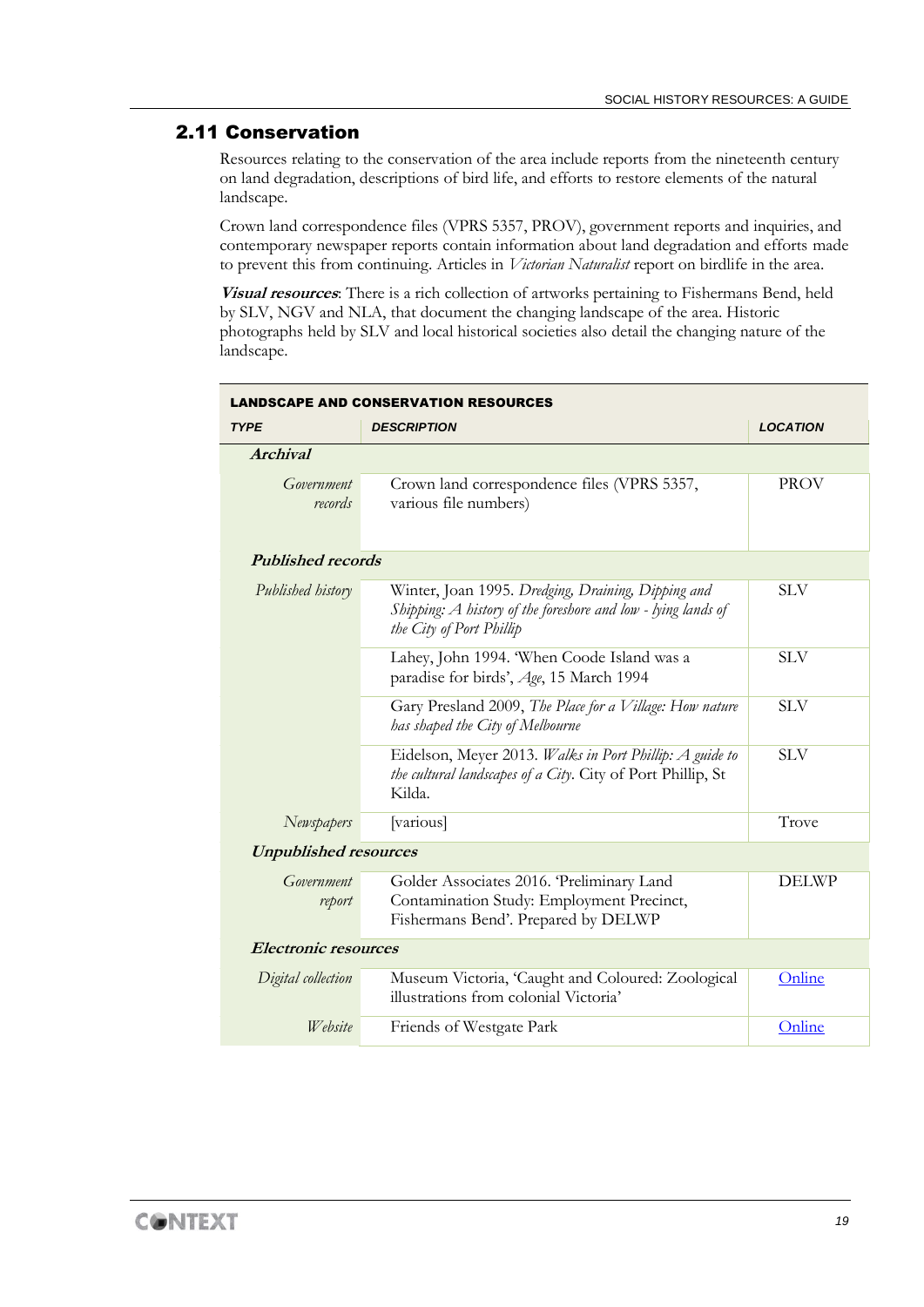### <span id="page-23-0"></span>2.11 Conservation

Resources relating to the conservation of the area include reports from the nineteenth century on land degradation, descriptions of bird life, and efforts to restore elements of the natural landscape.

Crown land correspondence files (VPRS 5357, PROV), government reports and inquiries, and contemporary newspaper reports contain information about land degradation and efforts made to prevent this from continuing. Articles in *Victorian Naturalist* report on birdlife in the area.

**Visual resources**: There is a rich collection of artworks pertaining to Fishermans Bend, held by SLV, NGV and NLA, that document the changing landscape of the area. Historic photographs held by SLV and local historical societies also detail the changing nature of the landscape.

| LANDSCAPE AND CONSERVATION RESOURCES |                                                                                                                                                 |                 |
|--------------------------------------|-------------------------------------------------------------------------------------------------------------------------------------------------|-----------------|
| <b>TYPE</b>                          | <b>DESCRIPTION</b>                                                                                                                              | <b>LOCATION</b> |
| <b>Archival</b>                      |                                                                                                                                                 |                 |
| Government<br>records                | Crown land correspondence files (VPRS 5357,<br>various file numbers)                                                                            | <b>PROV</b>     |
| <b>Published records</b>             |                                                                                                                                                 |                 |
| Published history                    | Winter, Joan 1995. Dredging, Draining, Dipping and<br>Shipping: A history of the foreshore and low - lying lands of<br>the City of Port Phillip | <b>SLV</b>      |
|                                      | Lahey, John 1994. 'When Coode Island was a<br>paradise for birds', Age, 15 March 1994                                                           | <b>SLV</b>      |
|                                      | Gary Presland 2009, The Place for a Village: How nature<br>has shaped the City of Melbourne                                                     | <b>SLV</b>      |
|                                      | Eidelson, Meyer 2013. Walks in Port Phillip: A guide to<br>the cultural landscapes of a City. City of Port Phillip, St<br>Kilda.                | <b>SLV</b>      |
| Newspapers                           | [various]                                                                                                                                       | Trove           |
| <b>Unpublished resources</b>         |                                                                                                                                                 |                 |
| Government<br>report                 | Golder Associates 2016. 'Preliminary Land<br>Contamination Study: Employment Precinct,<br>Fishermans Bend'. Prepared by DELWP                   | <b>DELWP</b>    |
| <b>Electronic resources</b>          |                                                                                                                                                 |                 |
| Digital collection                   | Museum Victoria, 'Caught and Coloured: Zoological<br>illustrations from colonial Victoria'                                                      | Online          |
| <i>Website</i>                       | Friends of Westgate Park                                                                                                                        | Online          |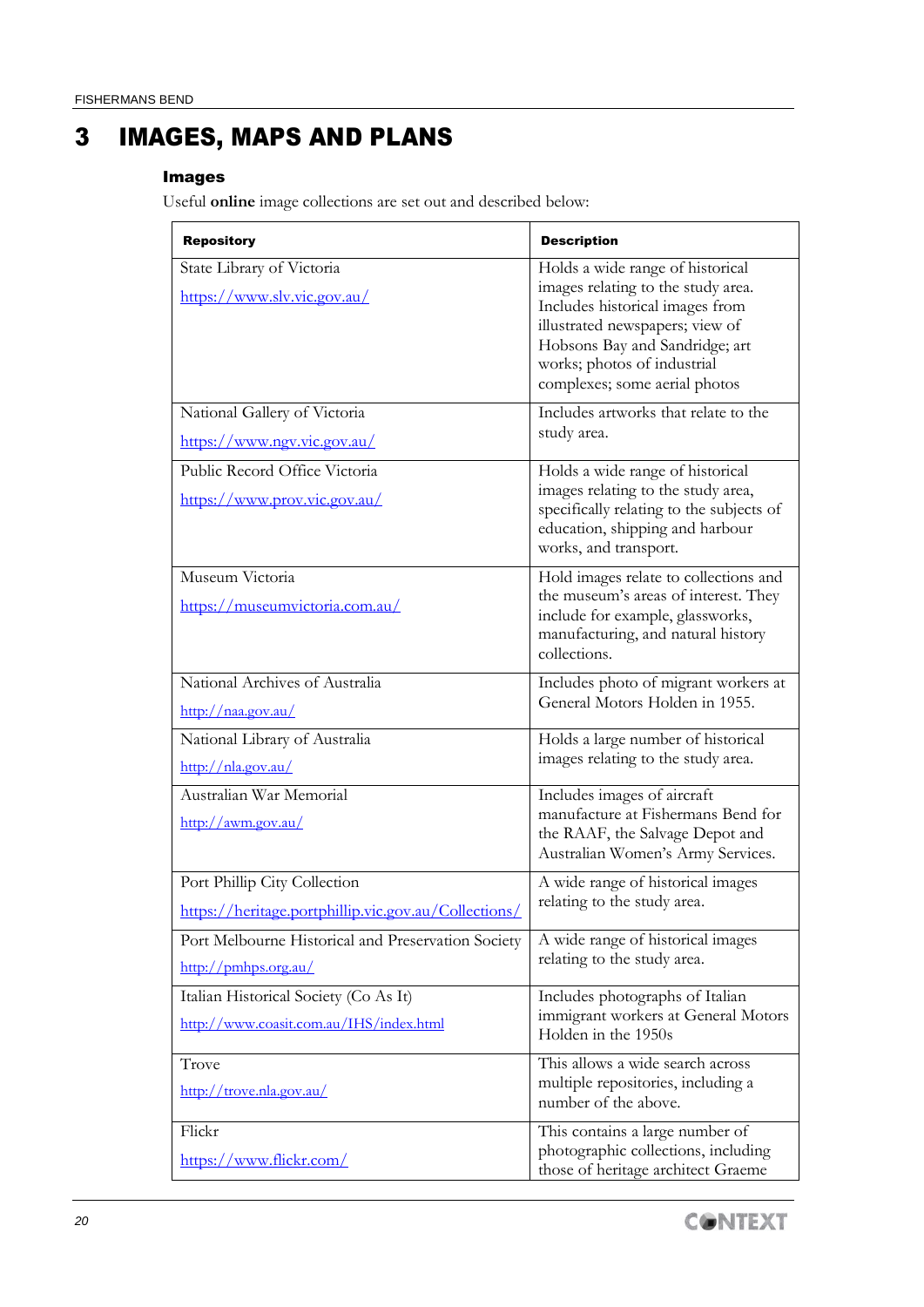# <span id="page-24-0"></span>3 IMAGES, MAPS AND PLANS

### Images

Useful **online** image collections are set out and described below:

| <b>Repository</b>                                                                    | <b>Description</b>                                                                                                                                                                                                                             |
|--------------------------------------------------------------------------------------|------------------------------------------------------------------------------------------------------------------------------------------------------------------------------------------------------------------------------------------------|
| State Library of Victoria<br>https://www.slv.vic.gov.au/                             | Holds a wide range of historical<br>images relating to the study area.<br>Includes historical images from<br>illustrated newspapers; view of<br>Hobsons Bay and Sandridge; art<br>works; photos of industrial<br>complexes; some aerial photos |
| National Gallery of Victoria<br>https://www.ngv.vic.gov.au/                          | Includes artworks that relate to the<br>study area.                                                                                                                                                                                            |
| Public Record Office Victoria<br>https://www.prov.vic.gov.au/                        | Holds a wide range of historical<br>images relating to the study area,<br>specifically relating to the subjects of<br>education, shipping and harbour<br>works, and transport.                                                                 |
| Museum Victoria<br>https://museumvictoria.com.au/                                    | Hold images relate to collections and<br>the museum's areas of interest. They<br>include for example, glassworks,<br>manufacturing, and natural history<br>collections.                                                                        |
| National Archives of Australia<br>http://naa.gov.au/                                 | Includes photo of migrant workers at<br>General Motors Holden in 1955.                                                                                                                                                                         |
| National Library of Australia<br>http://nla.gov.au/                                  | Holds a large number of historical<br>images relating to the study area.                                                                                                                                                                       |
| Australian War Memorial<br>http://awm.gov.au/                                        | Includes images of aircraft<br>manufacture at Fishermans Bend for<br>the RAAF, the Salvage Depot and<br>Australian Women's Army Services.                                                                                                      |
| Port Phillip City Collection<br>https://heritage.portphillip.vic.gov.au/Collections/ | A wide range of historical images<br>relating to the study area.                                                                                                                                                                               |
| Port Melbourne Historical and Preservation Society<br>http://pmhps.org.au/           | A wide range of historical images<br>relating to the study area.                                                                                                                                                                               |
| Italian Historical Society (Co As It)<br>http://www.coasit.com.au/IHS/index.html     | Includes photographs of Italian<br>immigrant workers at General Motors<br>Holden in the 1950s                                                                                                                                                  |
| Trove<br>http://trove.nla.gov.au/                                                    | This allows a wide search across<br>multiple repositories, including a<br>number of the above.                                                                                                                                                 |
| Flickr<br>https://www.flickr.com/                                                    | This contains a large number of<br>photographic collections, including<br>those of heritage architect Graeme                                                                                                                                   |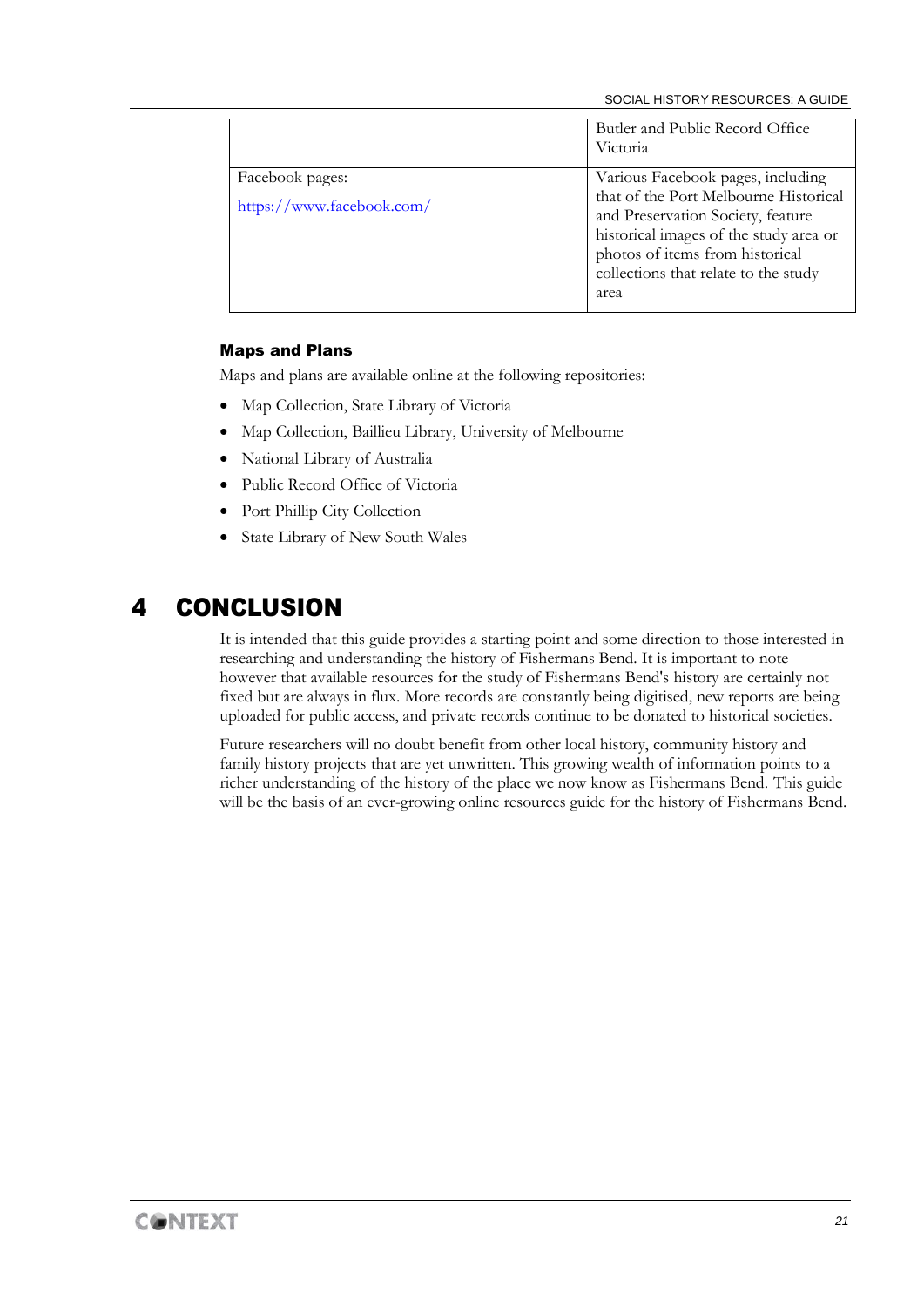SOCIAL HISTORY RESOURCES: A GUIDE

|                                              | Butler and Public Record Office<br>Victoria                                                                                                                                                                                                  |
|----------------------------------------------|----------------------------------------------------------------------------------------------------------------------------------------------------------------------------------------------------------------------------------------------|
| Facebook pages:<br>https://www.facebook.com/ | Various Facebook pages, including<br>that of the Port Melbourne Historical<br>and Preservation Society, feature<br>historical images of the study area or<br>photos of items from historical<br>collections that relate to the study<br>area |

#### Maps and Plans

Maps and plans are available online at the following repositories:

- Map Collection, State Library of Victoria
- Map Collection, Baillieu Library, University of Melbourne
- National Library of Australia
- Public Record Office of Victoria
- Port Phillip City Collection
- State Library of New South Wales

# <span id="page-25-0"></span>4 CONCLUSION

It is intended that this guide provides a starting point and some direction to those interested in researching and understanding the history of Fishermans Bend. It is important to note however that available resources for the study of Fishermans Bend's history are certainly not fixed but are always in flux. More records are constantly being digitised, new reports are being uploaded for public access, and private records continue to be donated to historical societies.

Future researchers will no doubt benefit from other local history, community history and family history projects that are yet unwritten. This growing wealth of information points to a richer understanding of the history of the place we now know as Fishermans Bend. This guide will be the basis of an ever-growing online resources guide for the history of Fishermans Bend.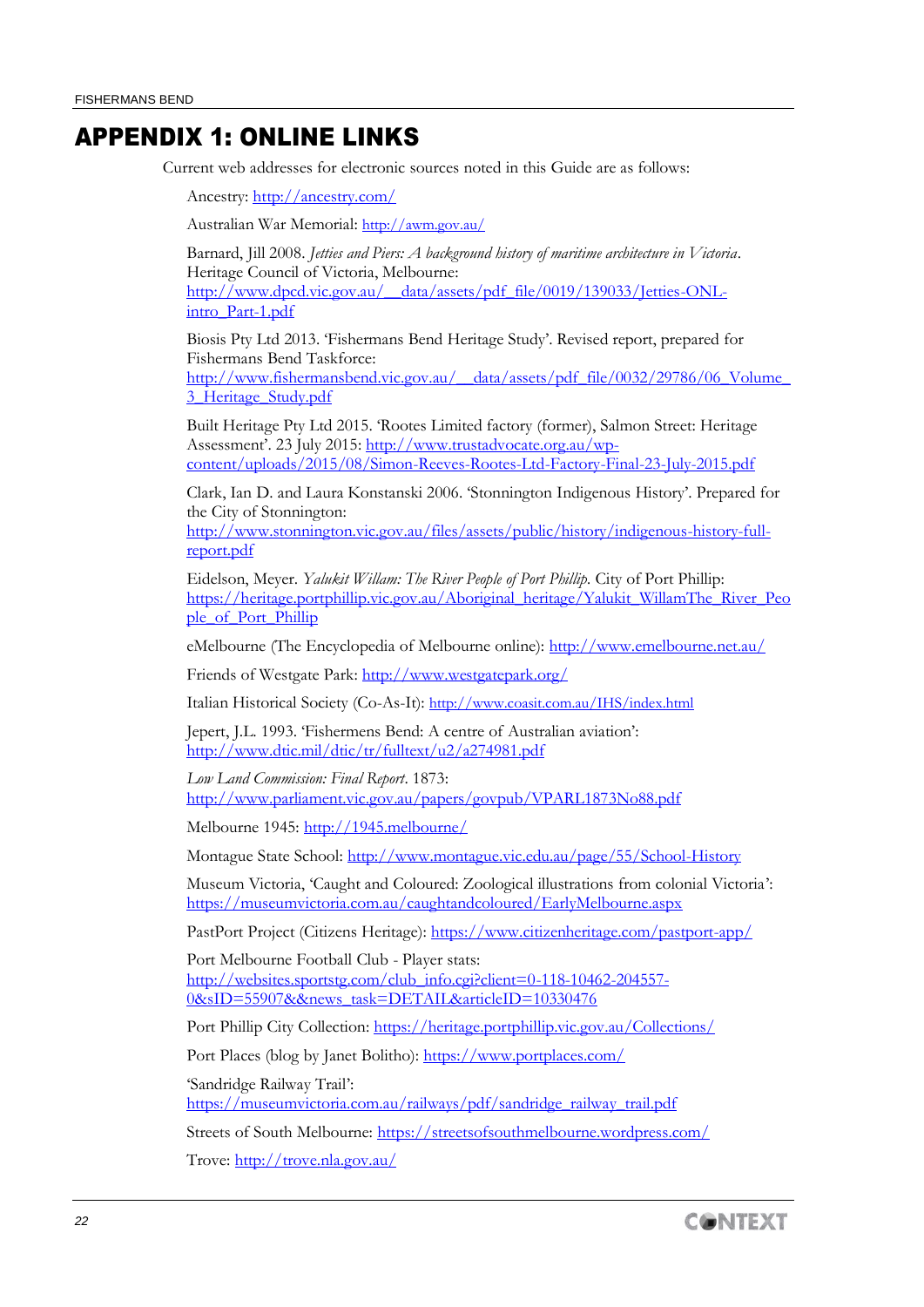# <span id="page-26-0"></span>APPENDIX 1: ONLINE LINKS

Current web addresses for electronic sources noted in this Guide are as follows:

Ancestry:<http://ancestry.com/>

Australian War Memorial: <http://awm.gov.au/>

Barnard, Jill 2008. *Jetties and Piers: A background history of maritime architecture in Victoria*. Heritage Council of Victoria, Melbourne: [http://www.dpcd.vic.gov.au/\\_\\_data/assets/pdf\\_file/0019/139033/Jetties-ONL](http://www.dpcd.vic.gov.au/__data/assets/pdf_file/0019/139033/Jetties-ONL-intro_Part-1.pdf)[intro\\_Part-1.pdf](http://www.dpcd.vic.gov.au/__data/assets/pdf_file/0019/139033/Jetties-ONL-intro_Part-1.pdf)

Biosis Pty Ltd 2013. 'Fishermans Bend Heritage Study'. Revised report, prepared for Fishermans Bend Taskforce:

[http://www.fishermansbend.vic.gov.au/\\_\\_data/assets/pdf\\_file/0032/29786/06\\_Volume\\_](http://www.fishermansbend.vic.gov.au/__data/assets/pdf_file/0032/29786/06_Volume_3_Heritage_Study.pdf) [3\\_Heritage\\_Study.pdf](http://www.fishermansbend.vic.gov.au/__data/assets/pdf_file/0032/29786/06_Volume_3_Heritage_Study.pdf)

Built Heritage Pty Ltd 2015. 'Rootes Limited factory (former), Salmon Street: Heritage Assessment'. 23 July 2015[: http://www.trustadvocate.org.au/wp](http://www.trustadvocate.org.au/wp-content/uploads/2015/08/Simon-Reeves-Rootes-Ltd-Factory-Final-23-July-2015.pdf)[content/uploads/2015/08/Simon-Reeves-Rootes-Ltd-Factory-Final-23-July-2015.pdf](http://www.trustadvocate.org.au/wp-content/uploads/2015/08/Simon-Reeves-Rootes-Ltd-Factory-Final-23-July-2015.pdf)

Clark, Ian D. and Laura Konstanski 2006. 'Stonnington Indigenous History'. Prepared for the City of Stonnington:

[http://www.stonnington.vic.gov.au/files/assets/public/history/indigenous-history-full](http://www.stonnington.vic.gov.au/files/assets/public/history/indigenous-history-full-report.pdf)[report.pdf](http://www.stonnington.vic.gov.au/files/assets/public/history/indigenous-history-full-report.pdf)

Eidelson, Meyer. *Yalukit Willam: The River People of Port Phillip.* City of Port Phillip: [https://heritage.portphillip.vic.gov.au/Aboriginal\\_heritage/Yalukit\\_WillamThe\\_River\\_Peo](https://heritage.portphillip.vic.gov.au/Aboriginal_heritage/Yalukit_WillamThe_River_People_of_Port_Phillip) ple of Port Phillip

eMelbourne (The Encyclopedia of Melbourne online):<http://www.emelbourne.net.au/>

Friends of Westgate Park:<http://www.westgatepark.org/>

Italian Historical Society (Co-As-It): <http://www.coasit.com.au/IHS/index.html>

Jepert, J.L. 1993. 'Fishermens Bend: A centre of Australian aviation': <http://www.dtic.mil/dtic/tr/fulltext/u2/a274981.pdf>

*Low Land Commission: Final Report*. 1873: <http://www.parliament.vic.gov.au/papers/govpub/VPARL1873No88.pdf>

Melbourne 1945:<http://1945.melbourne/>

Montague State School:<http://www.montague.vic.edu.au/page/55/School-History>

Museum Victoria, 'Caught and Coloured: Zoological illustrations from colonial Victoria': <https://museumvictoria.com.au/caughtandcoloured/EarlyMelbourne.aspx>

PastPort Project (Citizens Heritage):<https://www.citizenheritage.com/pastport-app/>

Port Melbourne Football Club - Player stats: [http://websites.sportstg.com/club\\_info.cgi?client=0-118-10462-204557-](http://websites.sportstg.com/club_info.cgi?client=0-118-10462-204557-0&sID=55907&&news_task=DETAIL&articleID=10330476) [0&sID=55907&&news\\_task=DETAIL&articleID=10330476](http://websites.sportstg.com/club_info.cgi?client=0-118-10462-204557-0&sID=55907&&news_task=DETAIL&articleID=10330476)

Port Phillip City Collection:<https://heritage.portphillip.vic.gov.au/Collections/>

Port Places (blog by Janet Bolitho):<https://www.portplaces.com/>

'Sandridge Railway Trail':

[https://museumvictoria.com.au/railways/pdf/sandridge\\_railway\\_trail.pdf](https://museumvictoria.com.au/railways/pdf/sandridge_railway_trail.pdf)

Streets of South Melbourne:<https://streetsofsouthmelbourne.wordpress.com/>

Trove:<http://trove.nla.gov.au/>